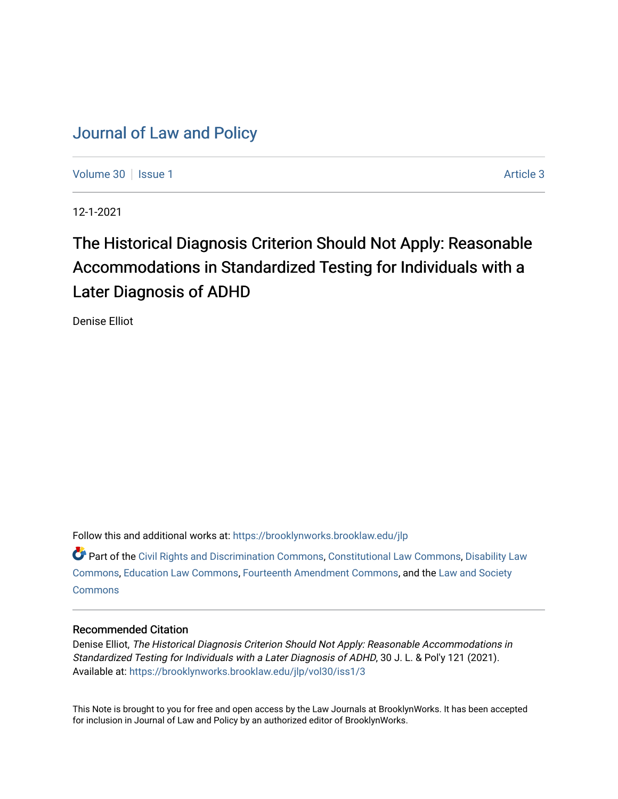# [Journal of Law and Policy](https://brooklynworks.brooklaw.edu/jlp)

[Volume 30](https://brooklynworks.brooklaw.edu/jlp/vol30) | [Issue 1](https://brooklynworks.brooklaw.edu/jlp/vol30/iss1) Article 3

12-1-2021

# The Historical Diagnosis Criterion Should Not Apply: Reasonable Accommodations in Standardized Testing for Individuals with a Later Diagnosis of ADHD

Denise Elliot

Follow this and additional works at: [https://brooklynworks.brooklaw.edu/jlp](https://brooklynworks.brooklaw.edu/jlp?utm_source=brooklynworks.brooklaw.edu%2Fjlp%2Fvol30%2Fiss1%2F3&utm_medium=PDF&utm_campaign=PDFCoverPages) 

Part of the [Civil Rights and Discrimination Commons,](http://network.bepress.com/hgg/discipline/585?utm_source=brooklynworks.brooklaw.edu%2Fjlp%2Fvol30%2Fiss1%2F3&utm_medium=PDF&utm_campaign=PDFCoverPages) [Constitutional Law Commons,](http://network.bepress.com/hgg/discipline/589?utm_source=brooklynworks.brooklaw.edu%2Fjlp%2Fvol30%2Fiss1%2F3&utm_medium=PDF&utm_campaign=PDFCoverPages) [Disability Law](http://network.bepress.com/hgg/discipline/1074?utm_source=brooklynworks.brooklaw.edu%2Fjlp%2Fvol30%2Fiss1%2F3&utm_medium=PDF&utm_campaign=PDFCoverPages)  [Commons](http://network.bepress.com/hgg/discipline/1074?utm_source=brooklynworks.brooklaw.edu%2Fjlp%2Fvol30%2Fiss1%2F3&utm_medium=PDF&utm_campaign=PDFCoverPages), [Education Law Commons](http://network.bepress.com/hgg/discipline/596?utm_source=brooklynworks.brooklaw.edu%2Fjlp%2Fvol30%2Fiss1%2F3&utm_medium=PDF&utm_campaign=PDFCoverPages), [Fourteenth Amendment Commons,](http://network.bepress.com/hgg/discipline/1116?utm_source=brooklynworks.brooklaw.edu%2Fjlp%2Fvol30%2Fiss1%2F3&utm_medium=PDF&utm_campaign=PDFCoverPages) and the [Law and Society](http://network.bepress.com/hgg/discipline/853?utm_source=brooklynworks.brooklaw.edu%2Fjlp%2Fvol30%2Fiss1%2F3&utm_medium=PDF&utm_campaign=PDFCoverPages) **[Commons](http://network.bepress.com/hgg/discipline/853?utm_source=brooklynworks.brooklaw.edu%2Fjlp%2Fvol30%2Fiss1%2F3&utm_medium=PDF&utm_campaign=PDFCoverPages)** 

# Recommended Citation

Denise Elliot, The Historical Diagnosis Criterion Should Not Apply: Reasonable Accommodations in Standardized Testing for Individuals with a Later Diagnosis of ADHD, 30 J. L. & Pol'y 121 (2021). Available at: [https://brooklynworks.brooklaw.edu/jlp/vol30/iss1/3](https://brooklynworks.brooklaw.edu/jlp/vol30/iss1/3?utm_source=brooklynworks.brooklaw.edu%2Fjlp%2Fvol30%2Fiss1%2F3&utm_medium=PDF&utm_campaign=PDFCoverPages)

This Note is brought to you for free and open access by the Law Journals at BrooklynWorks. It has been accepted for inclusion in Journal of Law and Policy by an authorized editor of BrooklynWorks.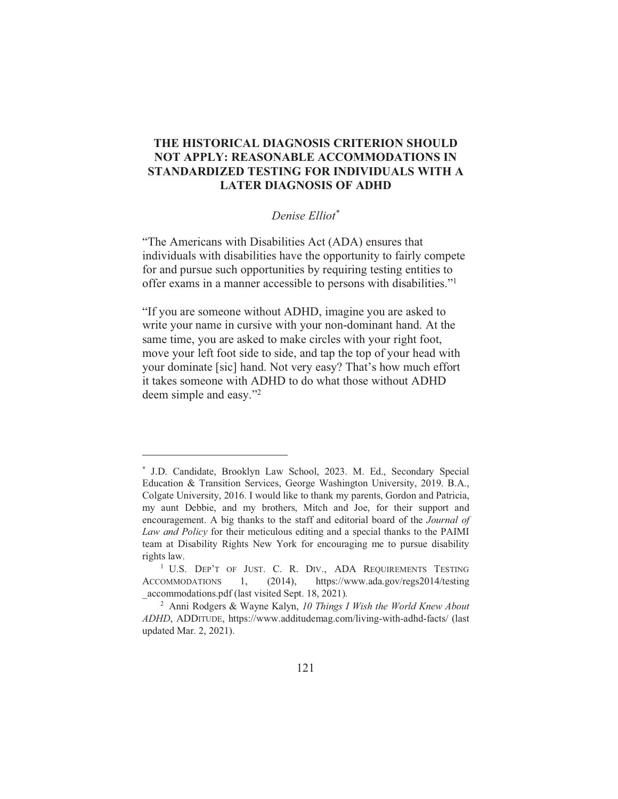# THE HISTORICAL DIAGNOSIS CRITERION SHOULD **NOT APPLY: REASONABLE ACCOMMODATIONS IN** STANDARDIZED TESTING FOR INDIVIDUALS WITH A **LATER DIAGNOSIS OF ADHD**

#### Denise Elliot\*

"The Americans with Disabilities Act (ADA) ensures that individuals with disabilities have the opportunity to fairly compete for and pursue such opportunities by requiring testing entities to offer exams in a manner accessible to persons with disabilities."<sup>1</sup>

"If you are someone without ADHD, imagine you are asked to write your name in cursive with your non-dominant hand. At the same time, you are asked to make circles with your right foot, move your left foot side to side, and tap the top of your head with your dominate [sic] hand. Not very easy? That's how much effort it takes someone with ADHD to do what those without ADHD deem simple and easy."<sup>2</sup>

<sup>\*</sup> J.D. Candidate, Brooklyn Law School, 2023. M. Ed., Secondary Special Education & Transition Services, George Washington University, 2019. B.A., Colgate University, 2016. I would like to thank my parents, Gordon and Patricia, my aunt Debbie, and my brothers, Mitch and Joe, for their support and encouragement. A big thanks to the staff and editorial board of the *Journal of* Law and Policy for their meticulous editing and a special thanks to the PAIMI team at Disability Rights New York for encouraging me to pursue disability rights law.

<sup>&</sup>lt;sup>1</sup> U.S. DEP'T OF JUST. C. R. DIV., ADA REQUIREMENTS TESTING **ACCOMMODATIONS** 1,  $(2014),$ https://www.ada.gov/regs2014/testing accommodations.pdf (last visited Sept. 18, 2021).

<sup>&</sup>lt;sup>2</sup> Anni Rodgers & Wayne Kalyn, 10 Things I Wish the World Knew About ADHD, ADDITUDE, https://www.additudemag.com/living-with-adhd-facts/ (last updated Mar. 2, 2021).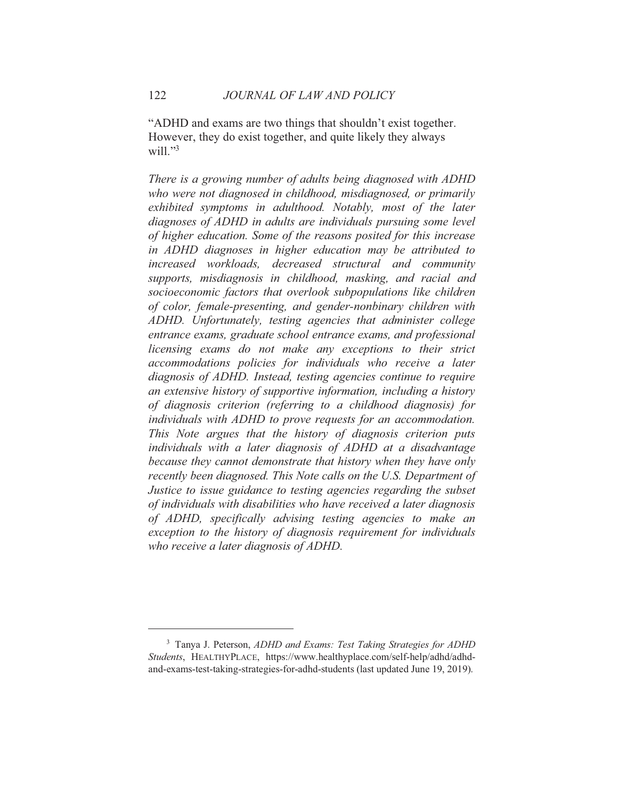"ADHD and exams are two things that shouldn't exist together. However, they do exist together, and quite likely they always will." $3$ 

There is a growing number of adults being diagnosed with ADHD who were not diagnosed in childhood, misdiagnosed, or primarily exhibited symptoms in adulthood. Notably, most of the later diagnoses of ADHD in adults are individuals pursuing some level of higher education. Some of the reasons posited for this increase in ADHD diagnoses in higher education may be attributed to increased workloads, decreased structural and community supports, misdiagnosis in childhood, masking, and racial and socioeconomic factors that overlook subpopulations like children of color, female-presenting, and gender-nonbinary children with ADHD. Unfortunately, testing agencies that administer college entrance exams, graduate school entrance exams, and professional licensing exams do not make any exceptions to their strict accommodations policies for individuals who receive a later diagnosis of ADHD. Instead, testing agencies continue to require an extensive history of supportive information, including a history of diagnosis criterion (referring to a childhood diagnosis) for individuals with ADHD to prove requests for an accommodation. This Note argues that the history of diagnosis criterion puts individuals with a later diagnosis of ADHD at a disadvantage because they cannot demonstrate that history when they have only recently been diagnosed. This Note calls on the U.S. Department of Justice to issue guidance to testing agencies regarding the subset of individuals with disabilities who have received a later diagnosis of ADHD, specifically advising testing agencies to make an exception to the history of diagnosis requirement for individuals who receive a later diagnosis of ADHD.

<sup>&</sup>lt;sup>3</sup> Tanya J. Peterson, ADHD and Exams: Test Taking Strategies for ADHD Students, HEALTHYPLACE, https://www.healthyplace.com/self-help/adhd/adhdand-exams-test-taking-strategies-for-adhd-students (last updated June 19, 2019).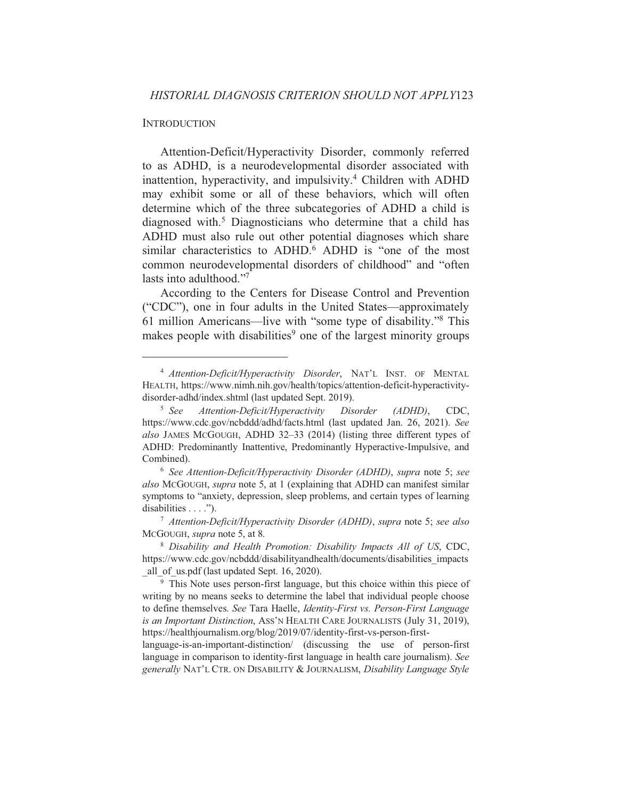#### **INTRODUCTION**

Attention-Deficit/Hyperactivity Disorder, commonly referred to as ADHD, is a neurodevelopmental disorder associated with inattention, hyperactivity, and impulsivity.<sup>4</sup> Children with ADHD may exhibit some or all of these behaviors, which will often determine which of the three subcategories of ADHD a child is diagnosed with.<sup>5</sup> Diagnosticians who determine that a child has ADHD must also rule out other potential diagnoses which share similar characteristics to ADHD.<sup>6</sup> ADHD is "one of the most common neurodevelopmental disorders of childhood" and "often lasts into adulthood."7

According to the Centers for Disease Control and Prevention ("CDC"), one in four adults in the United States—approximately 61 million Americans—live with "some type of disability."<sup>8</sup> This makes people with disabilities<sup>9</sup> one of the largest minority groups

<sup>&</sup>lt;sup>4</sup> Attention-Deficit/Hyperactivity Disorder, NAT'L INST. OF MENTAL HEALTH, https://www.nimh.nih.gov/health/topics/attention-deficit-hyperactivitydisorder-adhd/index.shtml (last updated Sept. 2019).

 $5 \text{ See}$ Attention-Deficit/Hyperactivity **Disorder**  $(ADHD),$ CDC. https://www.cdc.gov/ncbddd/adhd/facts.html (last updated Jan. 26, 2021). See also JAMES MCGOUGH, ADHD 32-33 (2014) (listing three different types of ADHD: Predominantly Inattentive, Predominantly Hyperactive-Impulsive, and Combined).

<sup>&</sup>lt;sup>6</sup> See Attention-Deficit/Hyperactivity Disorder (ADHD), supra note 5; see also McGOUGH, supra note 5, at 1 (explaining that ADHD can manifest similar symptoms to "anxiety, depression, sleep problems, and certain types of learning disabilities  $\ldots$ .

<sup>&</sup>lt;sup>7</sup> Attention-Deficit/Hyperactivity Disorder (ADHD), supra note 5; see also McGOUGH, *supra* note 5, at 8.

<sup>&</sup>lt;sup>8</sup> Disability and Health Promotion: Disability Impacts All of US, CDC, https://www.cdc.gov/ncbddd/disabilityandhealth/documents/disabilities impacts all of us.pdf (last updated Sept. 16, 2020).

<sup>&</sup>lt;sup>9</sup> This Note uses person-first language, but this choice within this piece of writing by no means seeks to determine the label that individual people choose to define themselves. See Tara Haelle, Identity-First vs. Person-First Language is an Important Distinction, ASS'N HEALTH CARE JOURNALISTS (July 31, 2019), https://healthjournalism.org/blog/2019/07/identity-first-vs-person-first-

language-is-an-important-distinction/ (discussing the use of person-first language in comparison to identity-first language in health care journalism). See generally NAT'L CTR. ON DISABILITY & JOURNALISM, Disability Language Style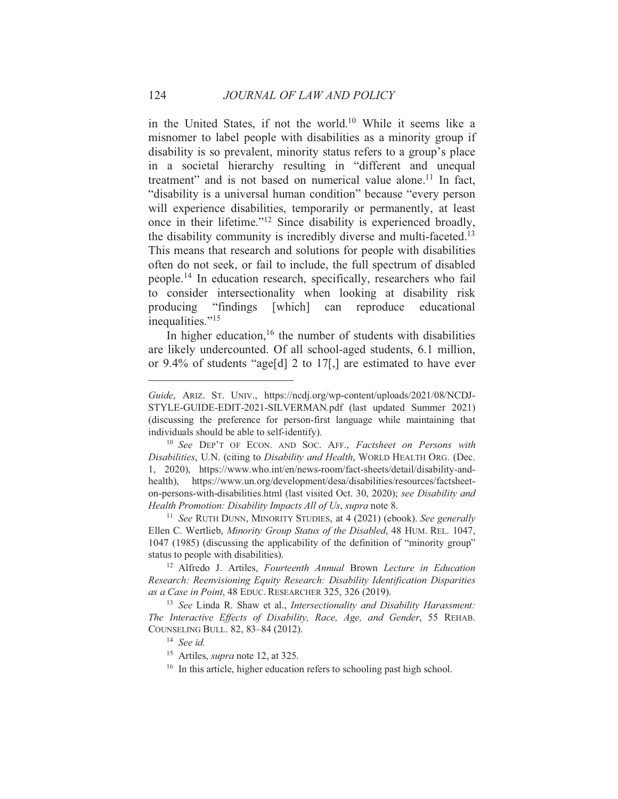in the United States, if not the world.<sup>10</sup> While it seems like a misnomer to label people with disabilities as a minority group if disability is so prevalent, minority status refers to a group's place in a societal hierarchy resulting in "different and unequal treatment" and is not based on numerical value alone.<sup>11</sup> In fact, "disability is a universal human condition" because "every person will experience disabilities, temporarily or permanently, at least once in their lifetime."<sup>12</sup> Since disability is experienced broadly, the disability community is incredibly diverse and multi-faceted.<sup>13</sup> This means that research and solutions for people with disabilities often do not seek, or fail to include, the full spectrum of disabled people.<sup>14</sup> In education research, specifically, researchers who fail to consider intersectionality when looking at disability risk producing "findings" [which] can reproduce educational inequalities."<sup>15</sup>

In higher education,  $16$  the number of students with disabilities are likely undercounted. Of all school-aged students, 6.1 million, or 9.4% of students "age[d] 2 to  $17$ [,] are estimated to have ever

<sup>11</sup> See RUTH DUNN, MINORITY STUDIES, at 4 (2021) (ebook). See generally Ellen C. Wertlieb, Minority Group Status of the Disabled, 48 HUM. REL. 1047, 1047 (1985) (discussing the applicability of the definition of "minority group" status to people with disabilities).

<sup>12</sup> Alfredo J. Artiles, Fourteenth Annual Brown Lecture in Education Research: Reenvisioning Equity Research: Disability Identification Disparities as a Case in Point, 48 EDUC. RESEARCHER 325, 326 (2019).

<sup>13</sup> See Linda R. Shaw et al., *Intersectionality and Disability Harassment*: The Interactive Effects of Disability, Race, Age, and Gender, 55 REHAB. COUNSELING BULL. 82, 83-84 (2012).

<sup>16</sup> In this article, higher education refers to schooling past high school.

Guide, ARIZ. ST. UNIV., https://ncdj.org/wp-content/uploads/2021/08/NCDJ-STYLE-GUIDE-EDIT-2021-SILVERMAN.pdf (last updated Summer 2021) (discussing the preference for person-first language while maintaining that individuals should be able to self-identify).

<sup>&</sup>lt;sup>10</sup> See DEP'T OF ECON. AND SOC. AFF., Factsheet on Persons with Disabilities, U.N. (citing to Disability and Health, WORLD HEALTH ORG. (Dec. 1, 2020), https://www.who.int/en/news-room/fact-sheets/detail/disability-andhealth), https://www.un.org/development/desa/disabilities/resources/factsheeton-persons-with-disabilities.html (last visited Oct. 30, 2020); see Disability and Health Promotion: Disability Impacts All of Us, supra note 8.

 $14$  See id.

<sup>&</sup>lt;sup>15</sup> Artiles, *supra* note 12, at 325.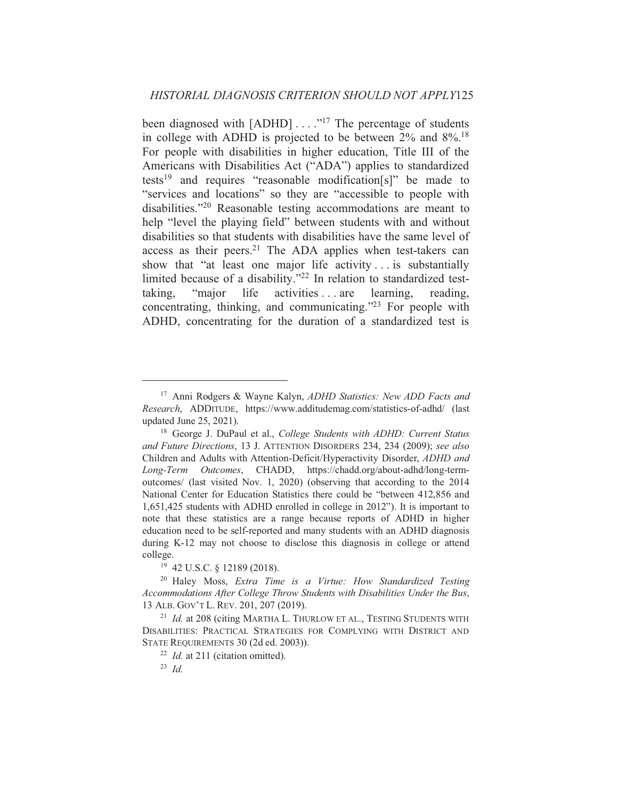been diagnosed with  $[ADHD] \ldots$ ."<sup>17</sup> The percentage of students in college with ADHD is projected to be between  $2\%$  and  $8\%$ .<sup>18</sup> For people with disabilities in higher education. Title III of the Americans with Disabilities Act ("ADA") applies to standardized tests<sup>19</sup> and requires "reasonable modification[s]" be made to "services and locations" so they are "accessible to people with disabilities."<sup>20</sup> Reasonable testing accommodations are meant to help "level the playing field" between students with and without disabilities so that students with disabilities have the same level of access as their peers.<sup>21</sup> The ADA applies when test-takers can show that "at least one major life activity... is substantially limited because of a disability."<sup>22</sup> In relation to standardized testlife activities ... are learning. "maior" taking. reading. concentrating, thinking, and communicating."23 For people with ADHD, concentrating for the duration of a standardized test is

<sup>&</sup>lt;sup>17</sup> Anni Rodgers & Wayne Kalyn, *ADHD Statistics: New ADD Facts and* Research, ADDITUDE, https://www.additudemag.com/statistics-of-adhd/ (last updated June 25, 2021).

<sup>&</sup>lt;sup>18</sup> George J. DuPaul et al., College Students with ADHD: Current Status and Future Directions, 13 J. ATTENTION DISORDERS 234, 234 (2009); see also Children and Adults with Attention-Deficit/Hyperactivity Disorder, ADHD and Long-Term Outcomes, CHADD, https://chadd.org/about-adhd/long-termoutcomes/ (last visited Nov. 1, 2020) (observing that according to the 2014 National Center for Education Statistics there could be "between 412,856 and 1,651,425 students with ADHD enrolled in college in 2012"). It is important to note that these statistics are a range because reports of ADHD in higher education need to be self-reported and many students with an ADHD diagnosis during K-12 may not choose to disclose this diagnosis in college or attend college.

<sup>&</sup>lt;sup>19</sup> 42 U.S.C. § 12189 (2018).

<sup>&</sup>lt;sup>20</sup> Haley Moss, *Extra Time is a Virtue: How Standardized Testing* Accommodations After College Throw Students with Disabilities Under the Bus, 13 ALB. GOV'T L. REV. 201, 207 (2019).

<sup>&</sup>lt;sup>21</sup> Id. at 208 (citing MARTHA L. THURLOW ET AL., TESTING STUDENTS WITH DISABILITIES: PRACTICAL STRATEGIES FOR COMPLYING WITH DISTRICT AND STATE REQUIREMENTS 30 (2d ed. 2003)).

 $22$  *Id.* at 211 (citation omitted).

<sup>&</sup>lt;sup>23</sup> Id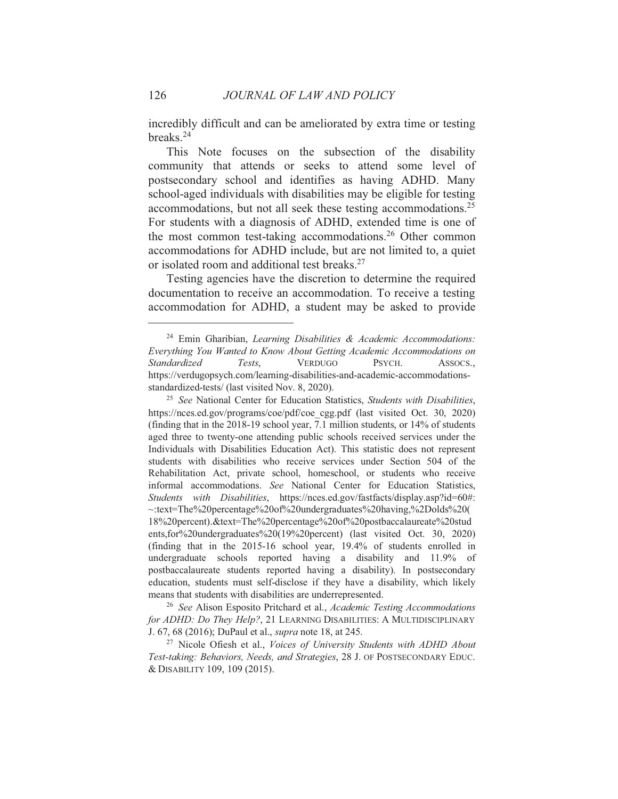incredibly difficult and can be ameliorated by extra time or testing breaks. $24$ 

This Note focuses on the subsection of the disability community that attends or seeks to attend some level of postsecondary school and identifies as having ADHD. Many school-aged individuals with disabilities may be eligible for testing accommodations, but not all seek these testing accommodations.<sup>25</sup> For students with a diagnosis of ADHD, extended time is one of the most common test-taking accommodations.<sup>26</sup> Other common accommodations for ADHD include, but are not limited to, a quiet or isolated room and additional test breaks.<sup>27</sup>

Testing agencies have the discretion to determine the required documentation to receive an accommodation. To receive a testing accommodation for ADHD, a student may be asked to provide

<sup>26</sup> See Alison Esposito Pritchard et al., Academic Testing Accommodations for ADHD: Do They Help?, 21 LEARNING DISABILITIES: A MULTIDISCIPLINARY J. 67, 68 (2016); DuPaul et al., *supra* note 18, at 245.

<sup>27</sup> Nicole Ofiesh et al., *Voices of University Students with ADHD About* Test-taking: Behaviors, Needs, and Strategies, 28 J. OF POSTSECONDARY EDUC. & DISABILITY 109, 109 (2015).

126

<sup>&</sup>lt;sup>24</sup> Emin Gharibian, Learning Disabilities & Academic Accommodations: Everything You Wanted to Know About Getting Academic Accommodations on **Standardized** Tests. **VERDUGO** PSYCH. Assocs. https://verdugopsych.com/learning-disabilities-and-academic-accommodationsstandardized-tests/ (last visited Nov. 8, 2020).

<sup>&</sup>lt;sup>25</sup> See National Center for Education Statistics, Students with Disabilities, https://nces.ed.gov/programs/coe/pdf/coe cgg.pdf (last visited Oct. 30, 2020) (finding that in the 2018-19 school year, 7.1 million students, or 14% of students aged three to twenty-one attending public schools received services under the Individuals with Disabilities Education Act). This statistic does not represent students with disabilities who receive services under Section 504 of the Rehabilitation Act, private school, homeschool, or students who receive informal accommodations. See National Center for Education Statistics, Students with Disabilities, https://nces.ed.gov/fastfacts/display.asp?id=60#: ~:text=The%20percentage%20of%20undergraduates%20having,%2Dolds%20( 18%20percent).&text=The%20percentage%20of%20postbaccalaureate%20stud ents,for%20undergraduates%20(19%20percent) (last visited Oct. 30, 2020) (finding that in the 2015-16 school year, 19.4% of students enrolled in undergraduate schools reported having a disability and 11.9% of postbaccalaureate students reported having a disability). In postsecondary education, students must self-disclose if they have a disability, which likely means that students with disabilities are underrepresented.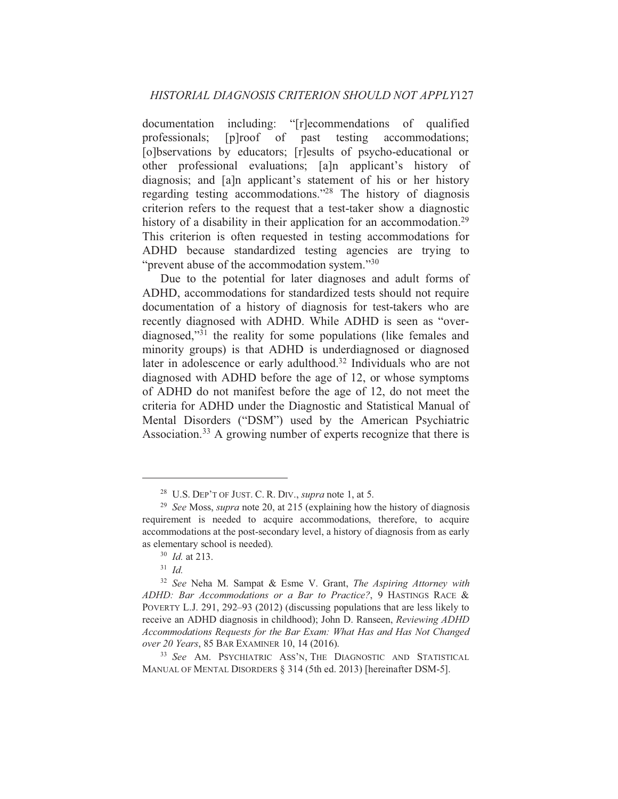documentation including: "[r]ecommendations of qualified  $[p] \text{roof}$  of testing professionals; past accommodations; [o]bservations by educators; [r]esults of psycho-educational or other professional evaluations; [a]n applicant's history of diagnosis; and [a]n applicant's statement of his or her history regarding testing accommodations."<sup>28</sup> The history of diagnosis criterion refers to the request that a test-taker show a diagnostic history of a disability in their application for an accommodation.<sup>29</sup> This criterion is often requested in testing accommodations for ADHD because standardized testing agencies are trying to "prevent abuse of the accommodation system."<sup>30</sup>

Due to the potential for later diagnoses and adult forms of ADHD, accommodations for standardized tests should not require documentation of a history of diagnosis for test-takers who are recently diagnosed with ADHD. While ADHD is seen as "overdiagnosed,"<sup>31</sup> the reality for some populations (like females and minority groups) is that ADHD is underdiagnosed or diagnosed later in adolescence or early adulthood.<sup>32</sup> Individuals who are not diagnosed with ADHD before the age of 12, or whose symptoms of ADHD do not manifest before the age of 12, do not meet the criteria for ADHD under the Diagnostic and Statistical Manual of Mental Disorders ("DSM") used by the American Psychiatric Association.<sup>33</sup> A growing number of experts recognize that there is

<sup>&</sup>lt;sup>28</sup> U.S. DEP'T OF JUST. C. R. DIV., *supra* note 1, at 5.

<sup>&</sup>lt;sup>29</sup> See Moss, *supra* note 20, at 215 (explaining how the history of diagnosis requirement is needed to acquire accommodations, therefore, to acquire accommodations at the post-secondary level, a history of diagnosis from as early as elementary school is needed).

 $30$  *Id.* at 213.

 $31$  *Id.* 

<sup>&</sup>lt;sup>32</sup> See Neha M. Sampat & Esme V. Grant, The Aspiring Attorney with ADHD: Bar Accommodations or a Bar to Practice?, 9 HASTINGS RACE & POVERTY L.J. 291, 292–93 (2012) (discussing populations that are less likely to receive an ADHD diagnosis in childhood); John D. Ranseen, *Reviewing ADHD* Accommodations Requests for the Bar Exam: What Has and Has Not Changed over 20 Years, 85 BAR EXAMINER 10, 14 (2016).

<sup>&</sup>lt;sup>33</sup> See AM. PSYCHIATRIC ASS'N, THE DIAGNOSTIC AND STATISTICAL MANUAL OF MENTAL DISORDERS § 314 (5th ed. 2013) [hereinafter DSM-5].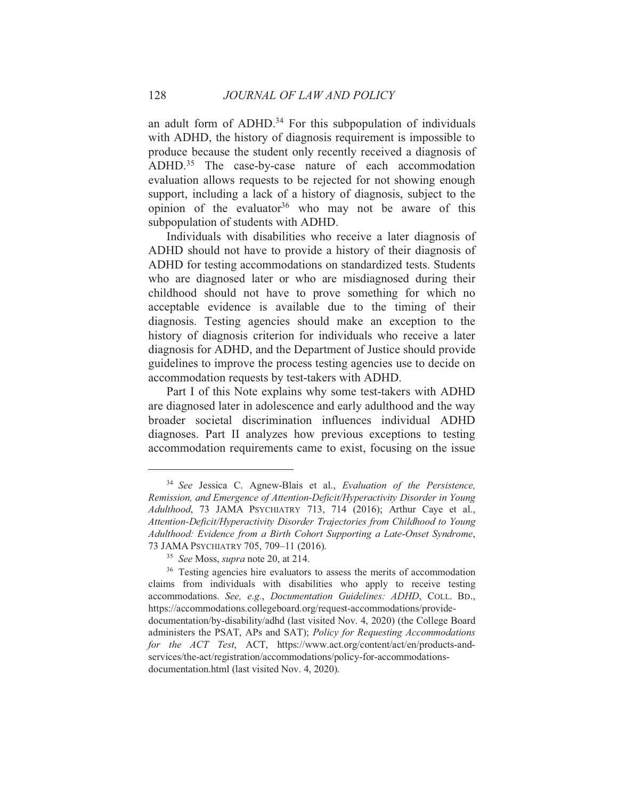an adult form of ADHD.<sup>34</sup> For this subpopulation of individuals with ADHD, the history of diagnosis requirement is impossible to produce because the student only recently received a diagnosis of ADHD.<sup>35</sup> The case-by-case nature of each accommodation evaluation allows requests to be rejected for not showing enough support, including a lack of a history of diagnosis, subject to the opinion of the evaluator<sup>36</sup> who may not be aware of this subpopulation of students with ADHD.

Individuals with disabilities who receive a later diagnosis of ADHD should not have to provide a history of their diagnosis of ADHD for testing accommodations on standardized tests. Students who are diagnosed later or who are misdiagnosed during their childhood should not have to prove something for which no acceptable evidence is available due to the timing of their diagnosis. Testing agencies should make an exception to the history of diagnosis criterion for individuals who receive a later diagnosis for ADHD, and the Department of Justice should provide guidelines to improve the process testing agencies use to decide on accommodation requests by test-takers with ADHD.

Part I of this Note explains why some test-takers with ADHD are diagnosed later in adolescence and early adulthood and the way broader societal discrimination influences individual ADHD diagnoses. Part II analyzes how previous exceptions to testing accommodation requirements came to exist, focusing on the issue

<sup>&</sup>lt;sup>34</sup> See Jessica C. Agnew-Blais et al., Evaluation of the Persistence, Remission, and Emergence of Attention-Deficit/Hyperactivity Disorder in Young Adulthood, 73 JAMA PSYCHIATRY 713, 714 (2016); Arthur Caye et al., Attention-Deficit/Hyperactivity Disorder Trajectories from Childhood to Young Adulthood: Evidence from a Birth Cohort Supporting a Late-Onset Syndrome, 73 JAMA PSYCHIATRY 705, 709-11 (2016).

<sup>&</sup>lt;sup>35</sup> See Moss, supra note 20, at 214.

<sup>&</sup>lt;sup>36</sup> Testing agencies hire evaluators to assess the merits of accommodation claims from individuals with disabilities who apply to receive testing accommodations. See, e.g., Documentation Guidelines: ADHD, COLL, BD., https://accommodations.collegeboard.org/request-accommodations/providedocumentation/by-disability/adhd (last visited Nov. 4, 2020) (the College Board administers the PSAT, APs and SAT); Policy for Requesting Accommodations for the ACT Test, ACT, https://www.act.org/content/act/en/products-andservices/the-act/registration/accommodations/policy-for-accommodationsdocumentation.html (last visited Nov. 4, 2020).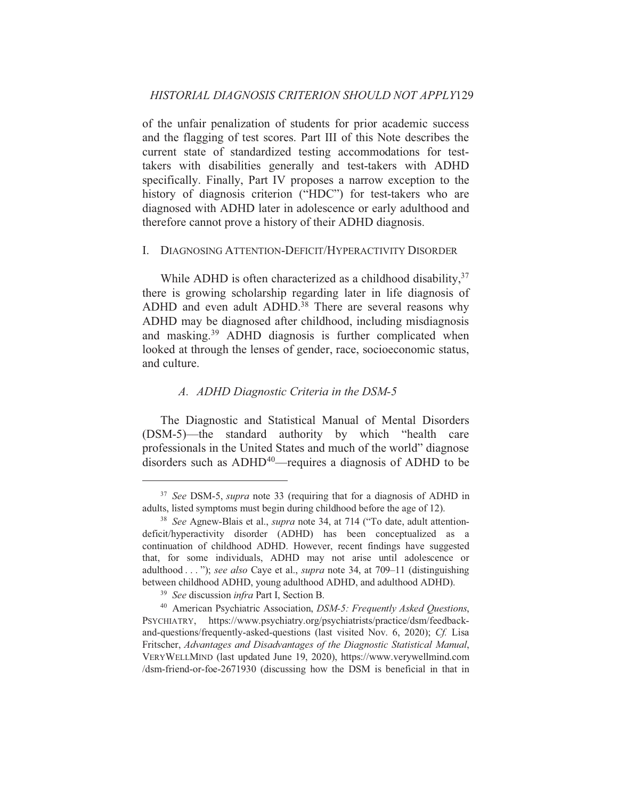of the unfair penalization of students for prior academic success and the flagging of test scores. Part III of this Note describes the current state of standardized testing accommodations for testtakers with disabilities generally and test-takers with ADHD specifically. Finally, Part IV proposes a narrow exception to the history of diagnosis criterion ("HDC") for test-takers who are diagnosed with ADHD later in adolescence or early adulthood and therefore cannot prove a history of their ADHD diagnosis.

#### I. DIAGNOSING ATTENTION-DEFICIT/HYPERACTIVITY DISORDER

While ADHD is often characterized as a childhood disability,  $37$ there is growing scholarship regarding later in life diagnosis of ADHD and even adult ADHD.<sup>38</sup> There are several reasons why ADHD may be diagnosed after childhood, including misdiagnosis and masking.<sup>39</sup> ADHD diagnosis is further complicated when looked at through the lenses of gender, race, socioeconomic status, and culture.

# A. ADHD Diagnostic Criteria in the DSM-5

The Diagnostic and Statistical Manual of Mental Disorders (DSM-5)—the standard authority by which "health care professionals in the United States and much of the world" diagnose disorders such as ADHD<sup>40</sup>—requires a diagnosis of ADHD to be

<sup>&</sup>lt;sup>37</sup> See DSM-5, *supra* note 33 (requiring that for a diagnosis of ADHD in adults, listed symptoms must begin during childhood before the age of 12).

<sup>&</sup>lt;sup>38</sup> See Agnew-Blais et al., *supra* note 34, at 714 ("To date, adult attentiondeficit/hyperactivity disorder (ADHD) has been conceptualized as a continuation of childhood ADHD. However, recent findings have suggested that, for some individuals, ADHD may not arise until adolescence or adulthood . . . "); see also Caye et al., supra note 34, at 709-11 (distinguishing between childhood ADHD, young adulthood ADHD, and adulthood ADHD).

<sup>&</sup>lt;sup>39</sup> See discussion *infra* Part I, Section B.

<sup>&</sup>lt;sup>40</sup> American Psychiatric Association, *DSM-5: Frequently Asked Ouestions*, PSYCHIATRY, https://www.psychiatry.org/psychiatrists/practice/dsm/feedbackand-questions/frequently-asked-questions (last visited Nov. 6, 2020); Cf. Lisa Fritscher, Advantages and Disadvantages of the Diagnostic Statistical Manual, VERYWELLMIND (last updated June 19, 2020), https://www.verywellmind.com  $\alpha$  /dsm-friend-or-foe-2671930 (discussing how the DSM is beneficial in that in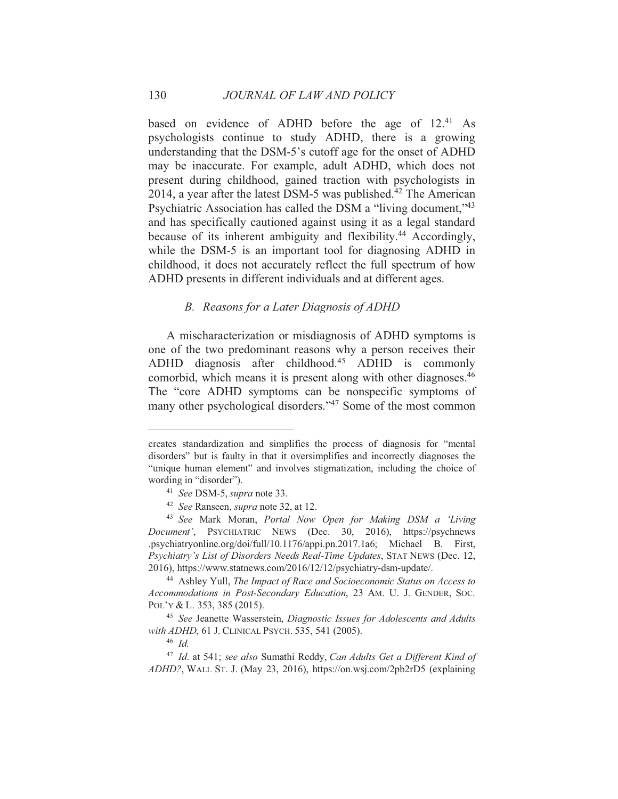based on evidence of ADHD before the age of 12.<sup>41</sup> As psychologists continue to study ADHD, there is a growing understanding that the DSM-5's cutoff age for the onset of ADHD may be inaccurate. For example, adult ADHD, which does not present during childhood, gained traction with psychologists in 2014, a year after the latest DSM-5 was published.<sup>42</sup> The American Psychiatric Association has called the DSM a "living document,"<sup>43</sup> and has specifically cautioned against using it as a legal standard because of its inherent ambiguity and flexibility.<sup>44</sup> Accordingly, while the DSM-5 is an important tool for diagnosing ADHD in childhood, it does not accurately reflect the full spectrum of how ADHD presents in different individuals and at different ages.

#### B. Reasons for a Later Diagnosis of ADHD

A mischaracterization or misdiagnosis of ADHD symptoms is one of the two predominant reasons why a person receives their ADHD diagnosis after childhood.<sup>45</sup> ADHD is commonly comorbid, which means it is present along with other diagnoses.<sup>46</sup> The "core ADHD symptoms can be nonspecific symptoms of many other psychological disorders."<sup>47</sup> Some of the most common

creates standardization and simplifies the process of diagnosis for "mental disorders" but is faulty in that it oversimplifies and incorrectly diagnoses the "unique human element" and involves stigmatization, including the choice of wording in "disorder").

<sup>&</sup>lt;sup>41</sup> See DSM-5, supra note 33.

<sup>&</sup>lt;sup>42</sup> See Ranseen, *supra* note 32, at 12.

<sup>&</sup>lt;sup>43</sup> See Mark Moran, *Portal Now Open for Making DSM a 'Living* Document', PSYCHIATRIC NEWS (Dec. 30, 2016), https://psychnews .psychiatryonline.org/doi/full/10.1176/appi.pn.2017.1a6; Michael B. First, Psychiatry's List of Disorders Needs Real-Time Updates, STAT NEWS (Dec. 12, 2016), https://www.statnews.com/2016/12/12/psychiatry-dsm-update/.

<sup>&</sup>lt;sup>44</sup> Ashley Yull, The Impact of Race and Socioeconomic Status on Access to Accommodations in Post-Secondary Education, 23 AM. U. J. GENDER, SOC. POL'Y & L. 353, 385 (2015).

<sup>&</sup>lt;sup>45</sup> See Jeanette Wasserstein, Diagnostic Issues for Adolescents and Adults with ADHD, 61 J. CLINICAL PSYCH. 535, 541 (2005).

 $46$  Id

<sup>&</sup>lt;sup>47</sup> Id. at 541; see also Sumathi Reddy, Can Adults Get a Different Kind of  $ADHD$ ?, WALL ST. J. (May 23, 2016), https://on.wsj.com/2pb2rD5 (explaining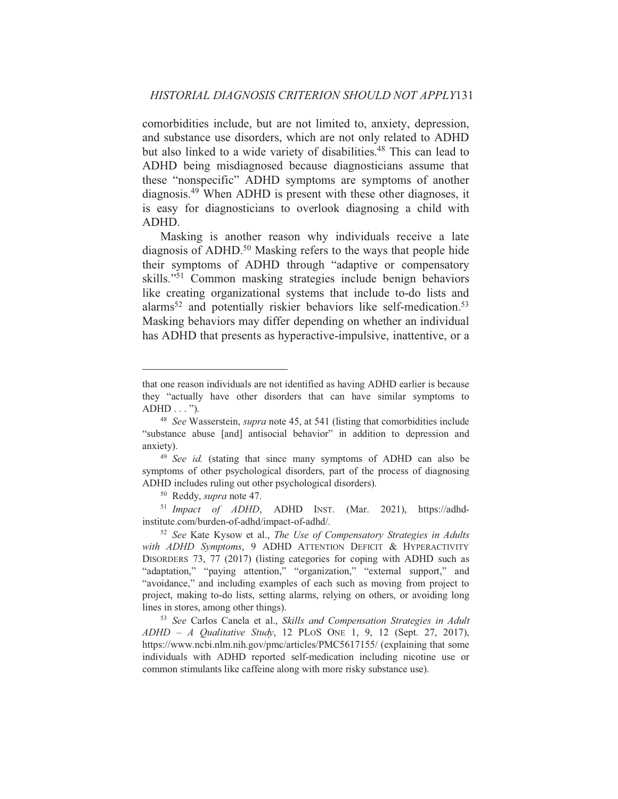comorbidities include, but are not limited to, anxiety, depression, and substance use disorders, which are not only related to ADHD but also linked to a wide variety of disabilities.<sup>48</sup> This can lead to ADHD being misdiagnosed because diagnosticians assume that these "nonspecific" ADHD symptoms are symptoms of another diagnosis.<sup>49</sup> When ADHD is present with these other diagnoses, it is easy for diagnosticians to overlook diagnosing a child with ADHD.

Masking is another reason why individuals receive a late diagnosis of ADHD.<sup>50</sup> Masking refers to the ways that people hide their symptoms of ADHD through "adaptive or compensatory skills."<sup>51</sup> Common masking strategies include benign behaviors like creating organizational systems that include to-do lists and alarms<sup>52</sup> and potentially riskier behaviors like self-medication.<sup>53</sup> Masking behaviors may differ depending on whether an individual has ADHD that presents as hyperactive-impulsive, inattentive, or a

<sup>51</sup> Impact of ADHD, ADHD INST. (Mar. 2021), https://adhdinstitute.com/burden-of-adhd/impact-of-adhd/.

that one reason individuals are not identified as having ADHD earlier is because they "actually have other disorders that can have similar symptoms to  $ADHD \ldots$ ").

<sup>&</sup>lt;sup>48</sup> See Wasserstein, *supra* note 45, at 541 (listing that comorbidities include "substance abuse [and] antisocial behavior" in addition to depression and anxiety).

<sup>&</sup>lt;sup>49</sup> See id. (stating that since many symptoms of ADHD can also be symptoms of other psychological disorders, part of the process of diagnosing ADHD includes ruling out other psychological disorders).

<sup>&</sup>lt;sup>50</sup> Reddy, *supra* note 47.

<sup>&</sup>lt;sup>52</sup> See Kate Kysow et al., *The Use of Compensatory Strategies in Adults* with ADHD Symptoms, 9 ADHD ATTENTION DEFICIT & HYPERACTIVITY DISORDERS 73, 77 (2017) (listing categories for coping with ADHD such as "adaptation," "paying attention," "organization," "external support," and "avoidance," and including examples of each such as moving from project to project, making to-do lists, setting alarms, relying on others, or avoiding long lines in stores, among other things).

<sup>&</sup>lt;sup>53</sup> See Carlos Canela et al., Skills and Compensation Strategies in Adult  $ADHD - A$  Qualitative Study, 12 PLOS ONE 1, 9, 12 (Sept. 27, 2017), https://www.ncbi.nlm.nih.gov/pmc/articles/PMC5617155/ (explaining that some individuals with ADHD reported self-medication including nicotine use or common stimulants like caffeine along with more risky substance use).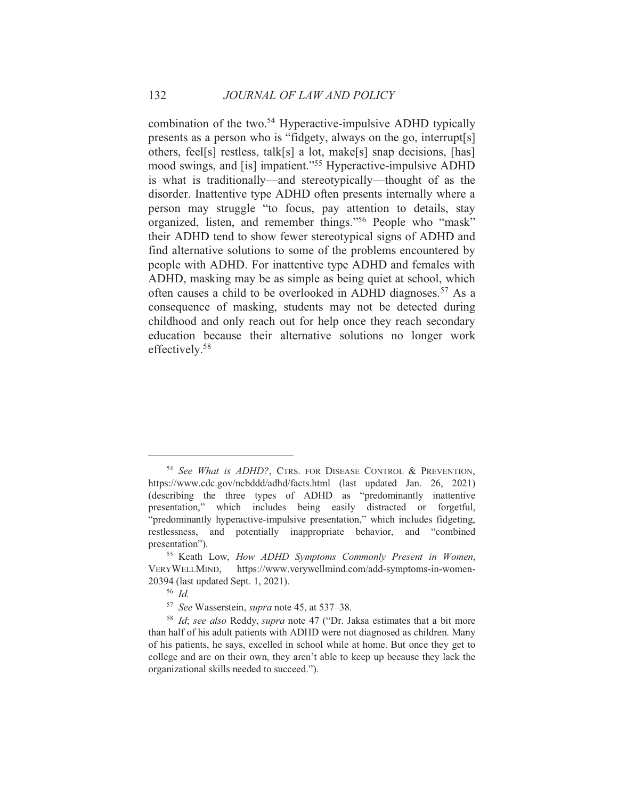combination of the two.<sup>54</sup> Hyperactive-impulsive ADHD typically presents as a person who is "fidgety, always on the go, interrupt[s] others, feel[s] restless, talk[s] a lot, make[s] snap decisions, [has] mood swings, and [is] impatient."<sup>55</sup> Hyperactive-impulsive ADHD is what is traditionally—and stereotypically—thought of as the disorder. Inattentive type ADHD often presents internally where a person may struggle "to focus, pay attention to details, stay organized, listen, and remember things."<sup>56</sup> People who "mask" their ADHD tend to show fewer stereotypical signs of ADHD and find alternative solutions to some of the problems encountered by people with ADHD. For inattentive type ADHD and females with ADHD, masking may be as simple as being quiet at school, which often causes a child to be overlooked in ADHD diagnoses.<sup>57</sup> As a consequence of masking, students may not be detected during childhood and only reach out for help once they reach secondary education because their alternative solutions no longer work effectively.<sup>58</sup>

<sup>&</sup>lt;sup>54</sup> See What is ADHD?, CTRS. FOR DISEASE CONTROL & PREVENTION, https://www.cdc.gov/ncbddd/adhd/facts.html (last updated Jan. 26, 2021) (describing the three types of ADHD as "predominantly inattentive presentation," which includes being easily distracted or forgetful, "predominantly hyperactive-impulsive presentation," which includes fidgeting, restlessness, and potentially inappropriate behavior, and "combined" presentation").

<sup>&</sup>lt;sup>55</sup> Keath Low, *How ADHD Symptoms Commonly Present in Women*, VERYWELLMIND, https://www.verywellmind.com/add-symptoms-in-women-20394 (last updated Sept. 1, 2021).

 $56$  *Id.* 

<sup>&</sup>lt;sup>57</sup> See Wasserstein, *supra* note 45, at 537–38.

<sup>&</sup>lt;sup>58</sup> Id; see also Reddy, supra note 47 ("Dr. Jaksa estimates that a bit more than half of his adult patients with ADHD were not diagnosed as children. Many of his patients, he says, excelled in school while at home. But once they get to college and are on their own, they aren't able to keep up because they lack the organizational skills needed to succeed.").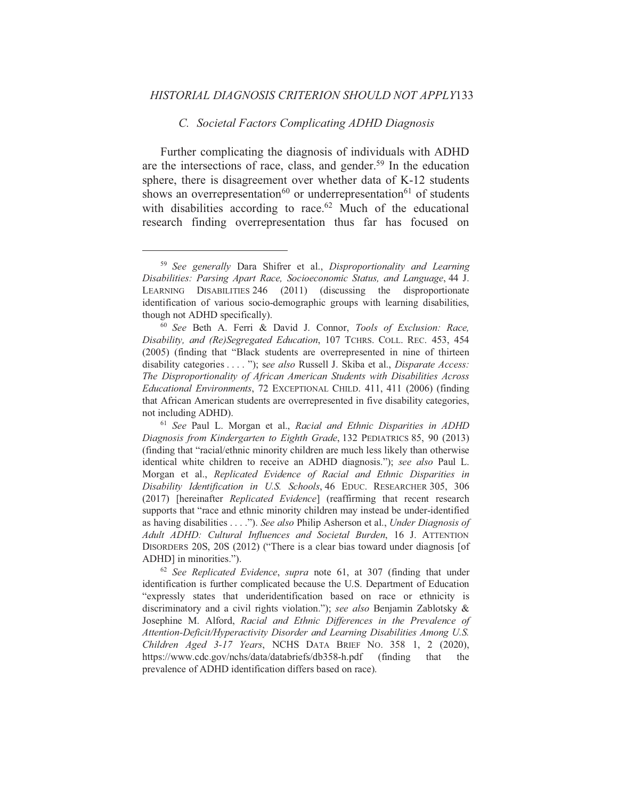#### C. Societal Factors Complicating ADHD Diagnosis

Further complicating the diagnosis of individuals with ADHD are the intersections of race, class, and gender.<sup>59</sup> In the education sphere, there is disagreement over whether data of K-12 students shows an overrepresentation<sup>60</sup> or underrepresentation<sup>61</sup> of students with disabilities according to race.<sup>62</sup> Much of the educational research finding overrepresentation thus far has focused on

<sup>&</sup>lt;sup>59</sup> See generally Dara Shifrer et al., Disproportionality and Learning Disabilities: Parsing Apart Race, Socioeconomic Status, and Language, 44 J. LEARNING DISABILITIES 246 (2011) (discussing the disproportionate identification of various socio-demographic groups with learning disabilities, though not ADHD specifically).

<sup>&</sup>lt;sup>60</sup> See Beth A. Ferri & David J. Connor, Tools of Exclusion: Race, Disability, and (Re)Segregated Education, 107 TCHRS. COLL. REC. 453, 454 (2005) (finding that "Black students are overrepresented in nine of thirteen disability categories . . . . "); see also Russell J. Skiba et al., *Disparate Access:* The Disproportionality of African American Students with Disabilities Across Educational Environments, 72 EXCEPTIONAL CHILD. 411, 411 (2006) (finding that African American students are overrepresented in five disability categories, not including ADHD).

<sup>&</sup>lt;sup>61</sup> See Paul L. Morgan et al., Racial and Ethnic Disparities in ADHD Diagnosis from Kindergarten to Eighth Grade, 132 PEDIATRICS 85, 90 (2013) (finding that "racial/ethnic minority children are much less likely than otherwise identical white children to receive an ADHD diagnosis."); see also Paul L. Morgan et al., Replicated Evidence of Racial and Ethnic Disparities in Disability Identification in U.S. Schools, 46 EDUC. RESEARCHER 305, 306 (2017) [hereinafter *Replicated Evidence*] (reaffirming that recent research supports that "race and ethnic minority children may instead be under-identified as having disabilities . . . ."). See also Philip Asherson et al., Under Diagnosis of Adult ADHD: Cultural Influences and Societal Burden, 16 J. ATTENTION DISORDERS 20S, 20S (2012) ("There is a clear bias toward under diagnosis [of ADHD] in minorities.").

 $62$  See Replicated Evidence, supra note 61, at 307 (finding that under identification is further complicated because the U.S. Department of Education "expressly states that underidentification based on race or ethnicity is discriminatory and a civil rights violation."); see also Benjamin Zablotsky & Josephine M. Alford, Racial and Ethnic Differences in the Prevalence of Attention-Deficit/Hyperactivity Disorder and Learning Disabilities Among U.S. Children Aged 3-17 Years, NCHS DATA BRIEF No. 358 1, 2 (2020), https://www.cdc.gov/nchs/data/databriefs/db358-h.pdf (finding) that the prevalence of ADHD identification differs based on race).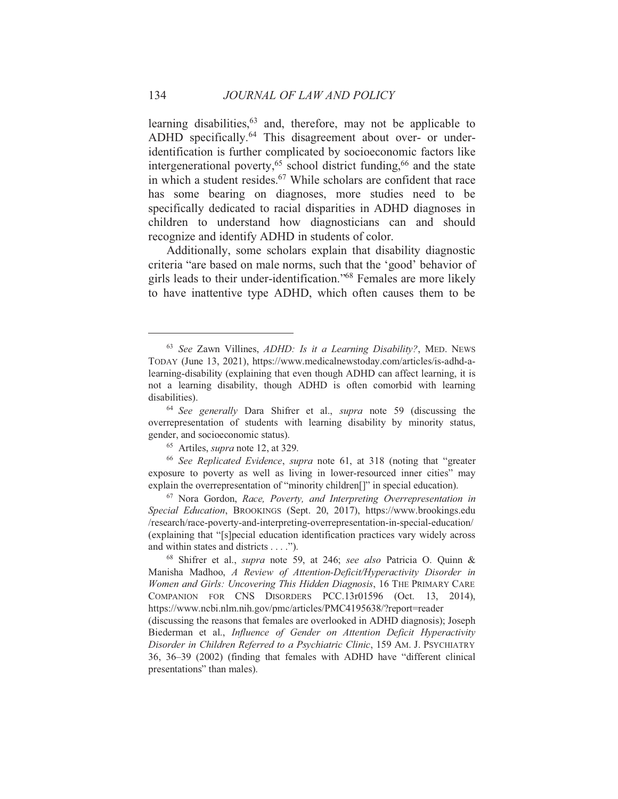learning disabilities,  $63$  and, therefore, may not be applicable to ADHD specifically.<sup>64</sup> This disagreement about over- or underidentification is further complicated by socioeconomic factors like intergenerational poverty,<sup>65</sup> school district funding,<sup>66</sup> and the state in which a student resides.<sup>67</sup> While scholars are confident that race has some bearing on diagnoses, more studies need to be specifically dedicated to racial disparities in ADHD diagnoses in children to understand how diagnosticians can and should recognize and identify ADHD in students of color.

Additionally, some scholars explain that disability diagnostic criteria "are based on male norms, such that the 'good' behavior of girls leads to their under-identification."<sup>68</sup> Females are more likely to have inattentive type ADHD, which often causes them to be

<sup>&</sup>lt;sup>63</sup> See Zawn Villines, ADHD: Is it a Learning Disability?, MED. NEWS TODAY (June 13, 2021), https://www.medicalnewstoday.com/articles/is-adhd-alearning-disability (explaining that even though ADHD can affect learning, it is not a learning disability, though ADHD is often comorbid with learning disabilities).

<sup>&</sup>lt;sup>64</sup> See generally Dara Shifrer et al., *supra* note 59 (discussing the overrepresentation of students with learning disability by minority status, gender, and socioeconomic status).

<sup>&</sup>lt;sup>65</sup> Artiles, *supra* note 12, at 329.

<sup>&</sup>lt;sup>66</sup> See Replicated Evidence, supra note 61, at 318 (noting that "greater exposure to poverty as well as living in lower-resourced inner cities" may explain the overrepresentation of "minority children[]" in special education).

<sup>&</sup>lt;sup>67</sup> Nora Gordon, Race, Poverty, and Interpreting Overrepresentation in Special Education, BROOKINGS (Sept. 20, 2017), https://www.brookings.edu /research/race-poverty-and-interpreting-overrepresentation-in-special-education/ (explaining that "[s] pecial education identification practices vary widely across and within states and districts . . . .").

<sup>68</sup> Shifrer et al., *supra* note 59, at 246; see also Patricia O. Quinn & Manisha Madhoo, A Review of Attention-Deficit/Hyperactivity Disorder in Women and Girls: Uncovering This Hidden Diagnosis, 16 THE PRIMARY CARE COMPANION FOR CNS DISORDERS PCC.13r01596 (Oct. 13, 2014), https://www.ncbi.nlm.nih.gov/pmc/articles/PMC4195638/?report=reader

<sup>(</sup>discussing the reasons that females are overlooked in ADHD diagnosis); Joseph Biederman et al., Influence of Gender on Attention Deficit Hyperactivity Disorder in Children Referred to a Psychiatric Clinic, 159 AM. J. PSYCHIATRY 36, 36–39 (2002) (finding that females with ADHD have "different clinical presentations" than males).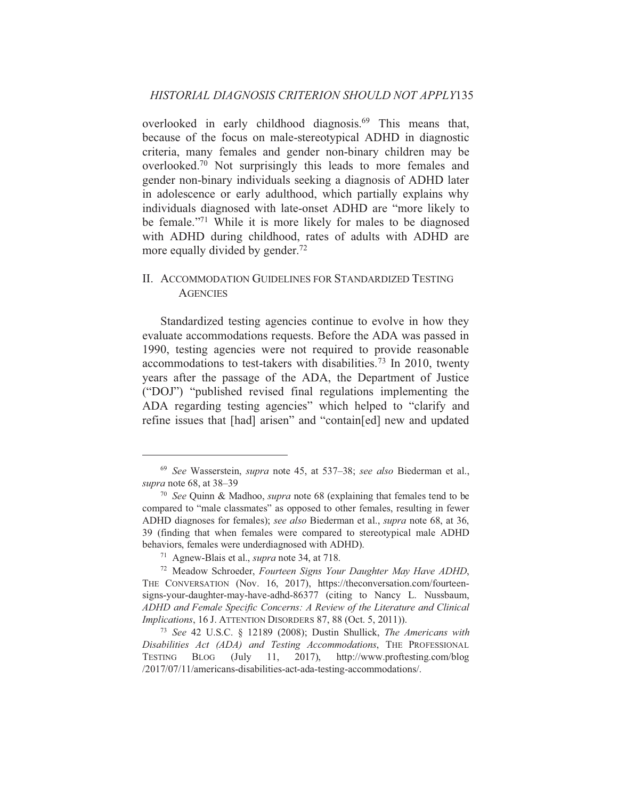overlooked in early childhood diagnosis.<sup>69</sup> This means that, because of the focus on male-stereotypical ADHD in diagnostic criteria, many females and gender non-binary children may be overlooked.<sup>70</sup> Not surprisingly this leads to more females and gender non-binary individuals seeking a diagnosis of ADHD later in adolescence or early adulthood, which partially explains why individuals diagnosed with late-onset ADHD are "more likely to be female."<sup>71</sup> While it is more likely for males to be diagnosed with ADHD during childhood, rates of adults with ADHD are more equally divided by gender.<sup>72</sup>

# II. ACCOMMODATION GUIDELINES FOR STANDARDIZED TESTING **AGENCIES**

Standardized testing agencies continue to evolve in how they evaluate accommodations requests. Before the ADA was passed in 1990, testing agencies were not required to provide reasonable accommodations to test-takers with disabilities.<sup>73</sup> In 2010, twenty years after the passage of the ADA, the Department of Justice ("DOJ") "published revised final regulations implementing the ADA regarding testing agencies" which helped to "clarify and refine issues that [had] arisen" and "contain[ed] new and updated

<sup>&</sup>lt;sup>69</sup> See Wasserstein, *supra* note 45, at 537–38; see also Biederman et al., supra note 68, at 38-39

<sup>&</sup>lt;sup>70</sup> See Ouinn & Madhoo, *supra* note 68 (explaining that females tend to be compared to "male classmates" as opposed to other females, resulting in fewer ADHD diagnoses for females); see also Biederman et al., supra note 68, at 36, 39 (finding that when females were compared to stereotypical male ADHD behaviors, females were underdiagnosed with ADHD).

<sup>&</sup>lt;sup>71</sup> Agnew-Blais et al., *supra* note 34, at 718.

<sup>&</sup>lt;sup>72</sup> Meadow Schroeder, Fourteen Signs Your Daughter May Have ADHD, THE CONVERSATION (Nov. 16, 2017), https://theconversation.com/fourteensigns-your-daughter-may-have-adhd-86377 (citing to Nancy L. Nussbaum, ADHD and Female Specific Concerns: A Review of the Literature and Clinical Implications, 16 J. ATTENTION DISORDERS 87, 88 (Oct. 5, 2011)).

<sup>&</sup>lt;sup>73</sup> See 42 U.S.C. § 12189 (2008); Dustin Shullick, *The Americans with* Disabilities Act (ADA) and Testing Accommodations. THE PROFESSIONAL  $(\mathrm{July}$  $2017$ ), http://www.proftesting.com/blog **TESTING BLOG**  $11,$ /2017/07/11/americans-disabilities-act-ada-testing-accommodations/.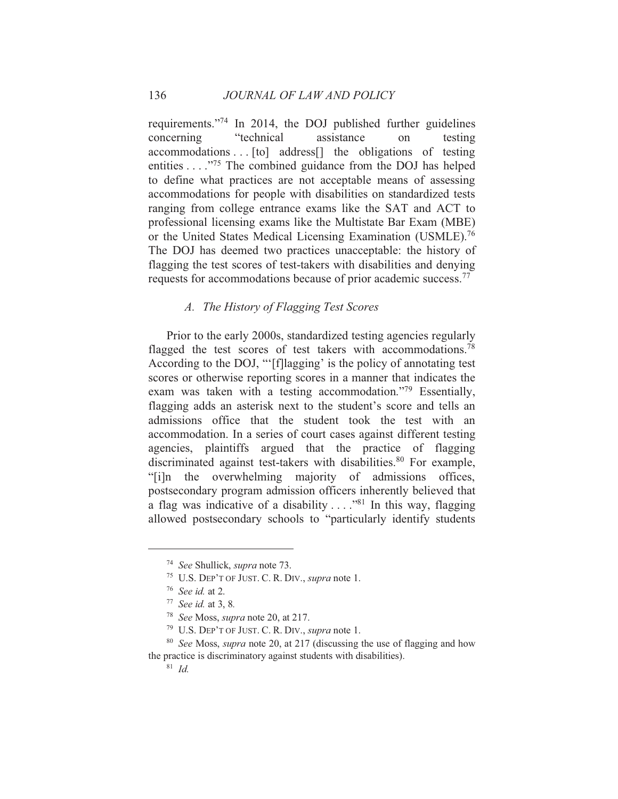requirements."<sup>74</sup> In 2014, the DOJ published further guidelines concerning "technical assistance on testing accommodations . . [to] address[] the obligations of testing entities .  $\ldots$ <sup>75</sup>. The combined guidance from the DOJ has helped to define what practices are not acceptable means of assessing accommodations for people with disabilities on standardized tests ranging from college entrance exams like the SAT and ACT to professional licensing exams like the Multistate Bar Exam (MBE) or the United States Medical Licensing Examination (USMLE).<sup>76</sup> The DOJ has deemed two practices unacceptable: the history of flagging the test scores of test-takers with disabilities and denying requests for accommodations because of prior academic success.<sup>77</sup>

# A. The History of Flagging Test Scores

Prior to the early 2000s, standardized testing agencies regularly flagged the test scores of test takers with accommodations.<sup>78</sup> According to the DOJ, "'[f]lagging' is the policy of annotating test scores or otherwise reporting scores in a manner that indicates the exam was taken with a testing accommodation."<sup>79</sup> Essentially, flagging adds an asterisk next to the student's score and tells an admissions office that the student took the test with an accommodation. In a series of court cases against different testing agencies, plaintiffs argued that the practice of flagging discriminated against test-takers with disabilities.<sup>80</sup> For example, "[i]n the overwhelming majority of admissions offices, postsecondary program admission officers inherently believed that a flag was indicative of a disability  $\dots$  <sup>381</sup>. In this way, flagging allowed postsecondary schools to "particularly identify students"

<sup>&</sup>lt;sup>74</sup> See Shullick, *supra* note 73.

<sup>&</sup>lt;sup>75</sup> U.S. DEP'T OF JUST. C. R. DIV., *supra* note 1.

 $76$  See id. at 2.

 $77$  See id. at 3, 8.

<sup>&</sup>lt;sup>78</sup> See Moss, *supra* note 20, at 217.

<sup>&</sup>lt;sup>79</sup> U.S. DEP'T OF JUST. C. R. DIV., *supra* note 1.

<sup>&</sup>lt;sup>80</sup> See Moss, *supra* note 20, at 217 (discussing the use of flagging and how the practice is discriminatory against students with disabilities).

 $81 \text{ Id}$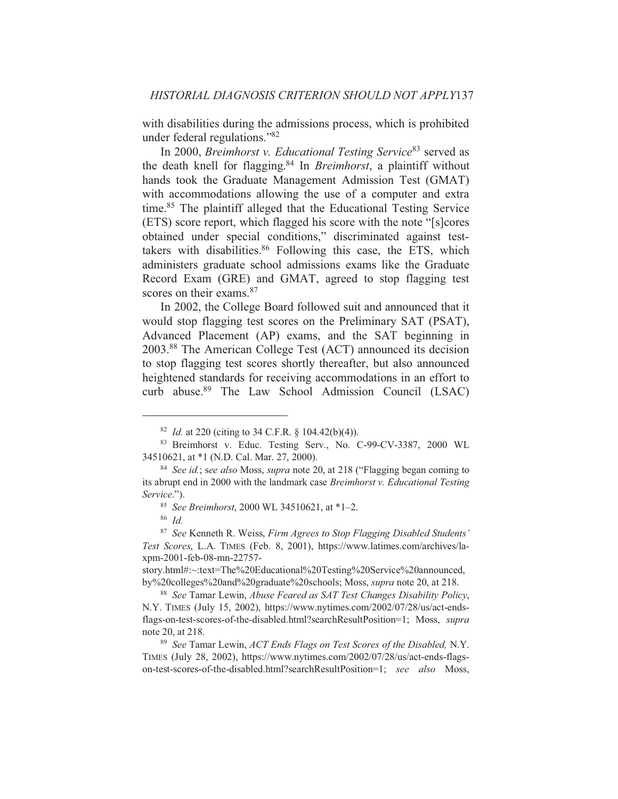with disabilities during the admissions process, which is prohibited under federal regulations."<sup>82</sup>

In 2000, Breimhorst v. Educational Testing Service<sup>83</sup> served as the death knell for flagging.<sup>84</sup> In *Breimhorst*, a plaintiff without hands took the Graduate Management Admission Test (GMAT) with accommodations allowing the use of a computer and extra time.<sup>85</sup> The plaintiff alleged that the Educational Testing Service (ETS) score report, which flagged his score with the note "[s]cores] obtained under special conditions," discriminated against testtakers with disabilities.<sup>86</sup> Following this case, the ETS, which administers graduate school admissions exams like the Graduate Record Exam (GRE) and GMAT, agreed to stop flagging test scores on their exams.<sup>87</sup>

In 2002, the College Board followed suit and announced that it would stop flagging test scores on the Preliminary SAT (PSAT), Advanced Placement (AP) exams, and the SAT beginning in 2003.88 The American College Test (ACT) announced its decision to stop flagging test scores shortly thereafter, but also announced heightened standards for receiving accommodations in an effort to curb abuse.<sup>89</sup> The Law School Admission Council (LSAC)

<sup>&</sup>lt;sup>82</sup> *Id.* at 220 (citing to 34 C.F.R. § 104.42(b)(4)).

<sup>83</sup> Breimhorst v. Educ. Testing Serv., No. C-99-CV-3387, 2000 WL 34510621, at \*1 (N.D. Cal. Mar. 27, 2000).

<sup>&</sup>lt;sup>84</sup> See id.; see also Moss, *supra* note 20, at 218 ("Flagging began coming to its abrupt end in 2000 with the landmark case Breimhorst v. Educational Testing Service.").

<sup>&</sup>lt;sup>85</sup> See Breimhorst, 2000 WL 34510621, at  $*1-2$ .

 $86$  *Id.* 

<sup>&</sup>lt;sup>87</sup> See Kenneth R. Weiss, Firm Agrees to Stop Flagging Disabled Students' Test Scores, L.A. TIMES (Feb. 8, 2001), https://www.latimes.com/archives/laxpm-2001-feb-08-mn-22757-

story.html#:~:text=The%20Educational%20Testing%20Service%20announced, by%20colleges%20and%20graduate%20schools; Moss, supra note 20, at 218.

<sup>&</sup>lt;sup>88</sup> See Tamar Lewin, *Abuse Feared as SAT Test Changes Disability Policy*, N.Y. TIMES (July 15, 2002), https://www.nytimes.com/2002/07/28/us/act-endsflags-on-test-scores-of-the-disabled.html?searchResultPosition=1; Moss, supra note 20, at 218.

<sup>&</sup>lt;sup>89</sup> See Tamar Lewin, ACT Ends Flags on Test Scores of the Disabled, N.Y. TIMES (July 28, 2002), https://www.nytimes.com/2002/07/28/us/act-ends-flagson-test-scores-of-the-disabled.html?searchResultPosition=1; see also Moss,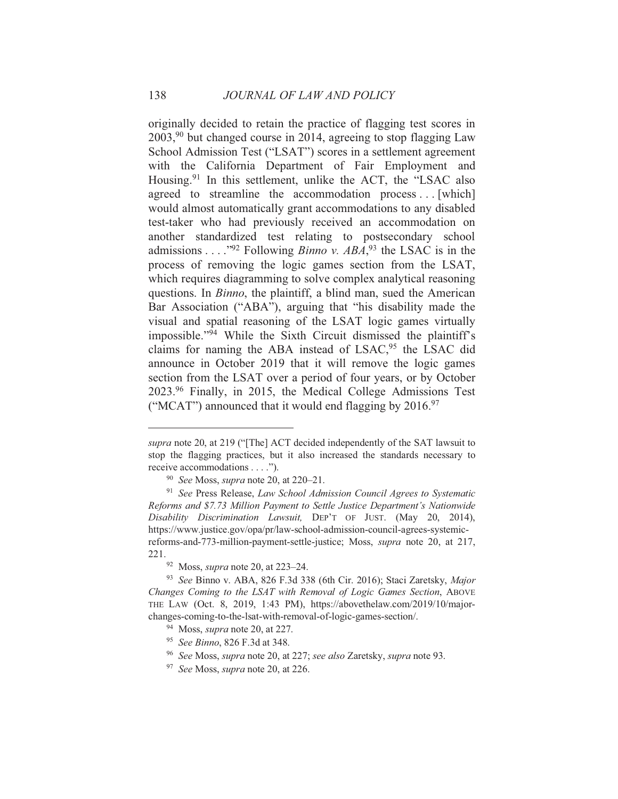originally decided to retain the practice of flagging test scores in  $2003<sup>90</sup>$  but changed course in 2014, agreeing to stop flagging Law School Admission Test ("LSAT") scores in a settlement agreement with the California Department of Fair Employment and Housing.<sup>91</sup> In this settlement, unlike the ACT, the "LSAC also agreed to streamline the accommodation process...[which] would almost automatically grant accommodations to any disabled test-taker who had previously received an accommodation on another standardized test relating to postsecondary school admissions . . . . "92 Following *Binno v. ABA*, <sup>93</sup> the LSAC is in the process of removing the logic games section from the LSAT, which requires diagramming to solve complex analytical reasoning questions. In *Binno*, the plaintiff, a blind man, sued the American Bar Association ("ABA"), arguing that "his disability made the visual and spatial reasoning of the LSAT logic games virtually impossible."<sup>94</sup> While the Sixth Circuit dismissed the plaintiff's claims for naming the ABA instead of LSAC,<sup>95</sup> the LSAC did announce in October 2019 that it will remove the logic games section from the LSAT over a period of four years, or by October 2023.96 Finally, in 2015, the Medical College Admissions Test ("MCAT") announced that it would end flagging by 2016.97

138

supra note 20, at 219 ("[The] ACT decided independently of the SAT lawsuit to stop the flagging practices, but it also increased the standards necessary to receive accommodations . . . .").

<sup>&</sup>lt;sup>90</sup> See Moss, *supra* note 20, at 220–21.

<sup>&</sup>lt;sup>91</sup> See Press Release, Law School Admission Council Agrees to Systematic Reforms and \$7.73 Million Payment to Settle Justice Department's Nationwide Disability Discrimination Lawsuit, DEP'T OF JUST. (May 20, 2014), https://www.justice.gov/opa/pr/law-school-admission-council-agrees-systemicreforms-and-773-million-payment-settle-justice; Moss, *supra* note 20, at 217, 221.

 $92$  Moss, *supra* note 20, at 223–24.

<sup>&</sup>lt;sup>93</sup> See Binno v. ABA, 826 F.3d 338 (6th Cir. 2016); Staci Zaretsky, Major Changes Coming to the LSAT with Removal of Logic Games Section, ABOVE THE LAW (Oct. 8, 2019, 1:43 PM), https://abovethelaw.com/2019/10/majorchanges-coming-to-the-lsat-with-removal-of-logic-games-section/.

<sup>&</sup>lt;sup>94</sup> Moss, *supra* note 20, at 227.

<sup>&</sup>lt;sup>95</sup> See Binno, 826 F.3d at 348.

<sup>&</sup>lt;sup>96</sup> See Moss, *supra* note 20, at 227; see also Zaretsky, *supra* note 93.

<sup>&</sup>lt;sup>97</sup> See Moss, *supra* note 20, at 226.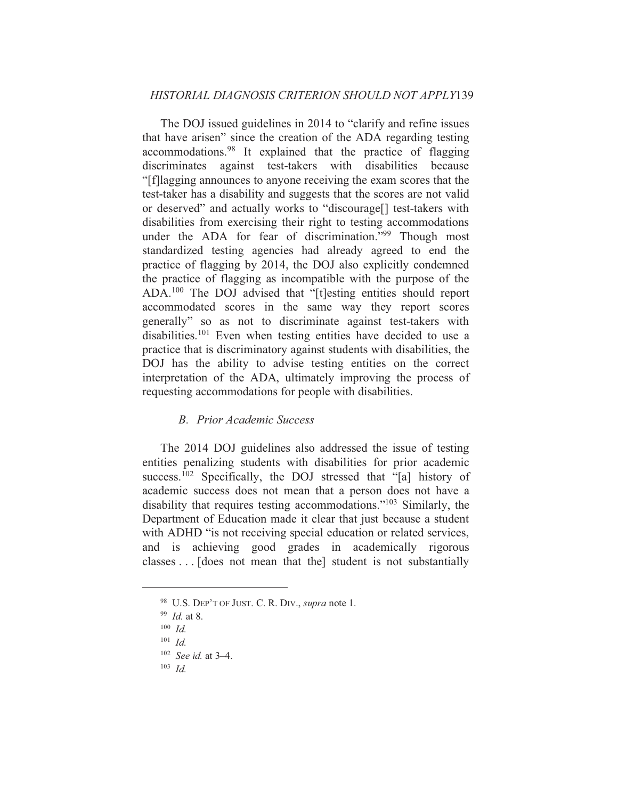The DOJ issued guidelines in 2014 to "clarify and refine issues" that have arisen" since the creation of the ADA regarding testing accommodations.<sup>98</sup> It explained that the practice of flagging discriminates against test-takers with disabilities because "[f] lagging announces to anyone receiving the exam scores that the test-taker has a disability and suggests that the scores are not valid or deserved" and actually works to "discourage[] test-takers with disabilities from exercising their right to testing accommodations under the ADA for fear of discrimination."<sup>99</sup> Though most standardized testing agencies had already agreed to end the practice of flagging by 2014, the DOJ also explicitly condemned the practice of flagging as incompatible with the purpose of the ADA.<sup>100</sup> The DOJ advised that "[t]esting entities should report accommodated scores in the same way they report scores generally" so as not to discriminate against test-takers with disabilities.<sup>101</sup> Even when testing entities have decided to use a practice that is discriminatory against students with disabilities, the DOJ has the ability to advise testing entities on the correct interpretation of the ADA, ultimately improving the process of requesting accommodations for people with disabilities.

#### **B.** Prior Academic Success

The 2014 DOJ guidelines also addressed the issue of testing entities penalizing students with disabilities for prior academic success.<sup>102</sup> Specifically, the DOJ stressed that "[a] history of academic success does not mean that a person does not have a disability that requires testing accommodations."<sup>103</sup> Similarly, the Department of Education made it clear that just because a student with ADHD "is not receiving special education or related services, and is achieving good grades in academically rigorous classes . . . [does not mean that the] student is not substantially

<sup>&</sup>lt;sup>98</sup> U.S. DEP'T OF JUST. C. R. DIV., *supra* note 1.

 $99$  *Id.* at 8.

 $100$  *Id.* 

 $101$  *Id.* 

 $102$  *See id.* at 3-4.

 $103$  *Id.*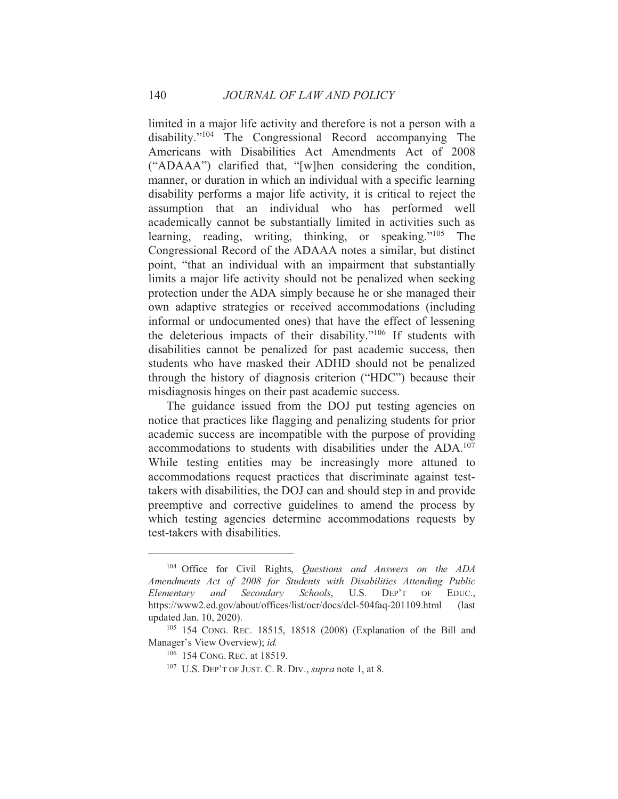limited in a major life activity and therefore is not a person with a disability."<sup>104</sup> The Congressional Record accompanying The Americans with Disabilities Act Amendments Act of 2008 ("ADAAA") clarified that, "[w]hen considering the condition, manner, or duration in which an individual with a specific learning disability performs a major life activity, it is critical to reject the assumption that an individual who has performed well academically cannot be substantially limited in activities such as learning, reading, writing, thinking, or speaking."<sup>105</sup> The Congressional Record of the ADAAA notes a similar, but distinct point, "that an individual with an impairment that substantially limits a major life activity should not be penalized when seeking protection under the ADA simply because he or she managed their own adaptive strategies or received accommodations (including informal or undocumented ones) that have the effect of lessening the deleterious impacts of their disability."<sup>106</sup> If students with disabilities cannot be penalized for past academic success, then students who have masked their ADHD should not be penalized through the history of diagnosis criterion ("HDC") because their misdiagnosis hinges on their past academic success.

The guidance issued from the DOJ put testing agencies on notice that practices like flagging and penalizing students for prior academic success are incompatible with the purpose of providing accommodations to students with disabilities under the ADA.<sup>107</sup> While testing entities may be increasingly more attuned to accommodations request practices that discriminate against testtakers with disabilities, the DOJ can and should step in and provide preemptive and corrective guidelines to amend the process by which testing agencies determine accommodations requests by test-takers with disabilities.

140

<sup>&</sup>lt;sup>104</sup> Office for Civil Rights, *Questions and Answers on the ADA* Amendments Act of 2008 for Students with Disabilities Attending Public Elementary and Secondary Schools, U.S.  $DEF$ <sup> $T$ </sup>  $OF$ EDUC. https://www2.ed.gov/about/offices/list/ocr/docs/dcl-504faq-201109.html  $\int$ updated Jan. 10, 2020).

<sup>&</sup>lt;sup>105</sup> 154 CONG. REC. 18515, 18518 (2008) (Explanation of the Bill and Manager's View Overview); id.

<sup>&</sup>lt;sup>106</sup> 154 CONG. REC. at 18519.

<sup>&</sup>lt;sup>107</sup> U.S. DEP'T OF JUST. C. R. DIV., *supra* note 1, at 8.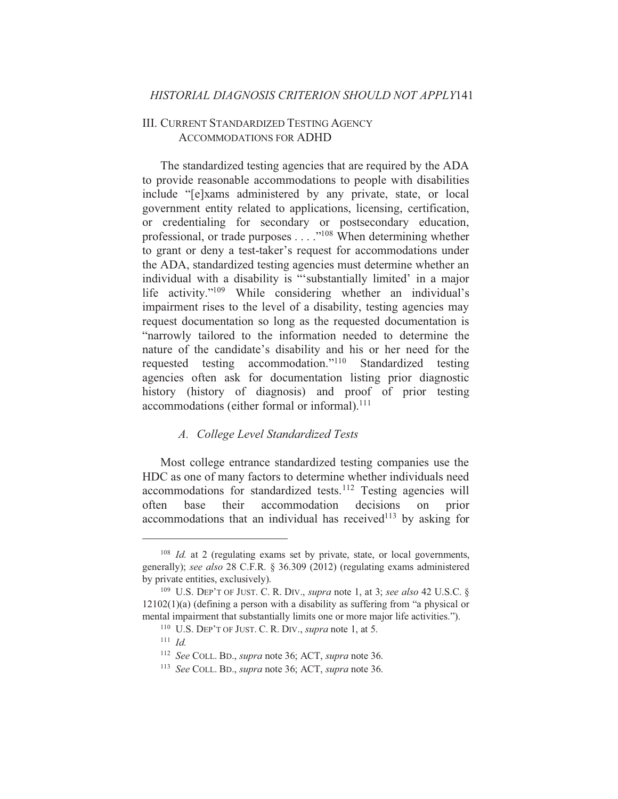# **III. CURRENT STANDARDIZED TESTING AGENCY ACCOMMODATIONS FOR ADHD**

The standardized testing agencies that are required by the ADA to provide reasonable accommodations to people with disabilities include "[e]xams administered by any private, state, or local government entity related to applications, licensing, certification, or credentialing for secondary or postsecondary education,<br>professional, or trade purposes . . . . "<sup>108</sup> When determining whether to grant or deny a test-taker's request for accommodations under the ADA, standardized testing agencies must determine whether an individual with a disability is "substantially limited' in a major life activity."<sup>109</sup> While considering whether an individual's impairment rises to the level of a disability, testing agencies may request documentation so long as the requested documentation is "narrowly tailored to the information needed to determine the nature of the candidate's disability and his or her need for the requested testing accommodation."<sup>110</sup> Standardized testing agencies often ask for documentation listing prior diagnostic history (history of diagnosis) and proof of prior testing accommodations (either formal or informal).<sup>111</sup>

#### A. College Level Standardized Tests

Most college entrance standardized testing companies use the HDC as one of many factors to determine whether individuals need accommodations for standardized tests.<sup>112</sup> Testing agencies will base their accommodation decisions  $_{\text{on}}$ prior often accommodations that an individual has received<sup>113</sup> by asking for

<sup>&</sup>lt;sup>108</sup> Id. at 2 (regulating exams set by private, state, or local governments, generally); see also 28 C.F.R. § 36.309 (2012) (regulating exams administered by private entities, exclusively).

<sup>&</sup>lt;sup>109</sup> U.S. DEP'T OF JUST. C. R. DIV., *supra* note 1, at 3; *see also* 42 U.S.C. §  $12102(1)(a)$  (defining a person with a disability as suffering from "a physical or mental impairment that substantially limits one or more major life activities.").

 $110$  U.S. DEP'T OF JUST, C. R. DIV., *supra* note 1, at 5.

 $111$  *Id.* 

<sup>&</sup>lt;sup>112</sup> See COLL. BD., *supra* note 36; ACT, *supra* note 36.

<sup>&</sup>lt;sup>113</sup> See COLL, BD., *supra* note 36: ACT, *supra* note 36.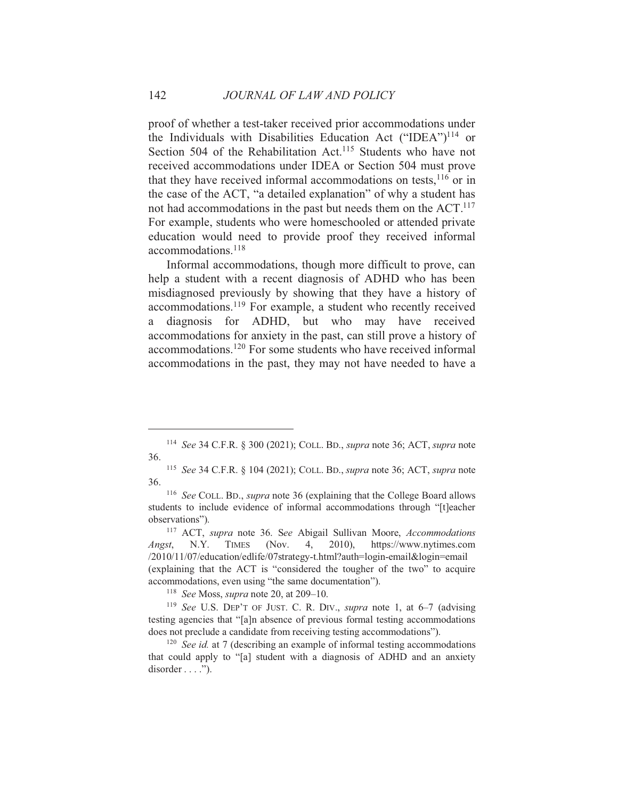proof of whether a test-taker received prior accommodations under the Individuals with Disabilities Education Act ("IDEA")<sup>114</sup> or Section 504 of the Rehabilitation Act.<sup>115</sup> Students who have not received accommodations under IDEA or Section 504 must prove that they have received informal accommodations on tests, <sup>116</sup> or in the case of the ACT, "a detailed explanation" of why a student has not had accommodations in the past but needs them on the ACT.<sup>117</sup> For example, students who were homeschooled or attended private education would need to provide proof they received informal  $accommodations.$ <sup>118</sup>

Informal accommodations, though more difficult to prove, can help a student with a recent diagnosis of ADHD who has been misdiagnosed previously by showing that they have a history of accommodations.<sup>119</sup> For example, a student who recently received a diagnosis for ADHD, but who may have received accommodations for anxiety in the past, can still prove a history of accommodations.<sup>120</sup> For some students who have received informal accommodations in the past, they may not have needed to have a

142

<sup>&</sup>lt;sup>114</sup> See 34 C.F.R. § 300 (2021); COLL. BD., *supra* note 36; ACT, *supra* note 36.

<sup>&</sup>lt;sup>115</sup> See 34 C.F.R. § 104 (2021); COLL. BD., *supra* note 36; ACT, *supra* note 36.

<sup>&</sup>lt;sup>116</sup> See COLL. BD., *supra* note 36 (explaining that the College Board allows students to include evidence of informal accommodations through "[t]eacher observations").

<sup>&</sup>lt;sup>117</sup> ACT, *supra* note 36. See Abigail Sullivan Moore, *Accommodations*  $N.Y.$ **TIMES** (Nov.  $\overline{4}$ .  $2010$ ), https://www.nytimes.com Angst, /2010/11/07/education/edlife/07strategy-t.html?auth=login-email&login=email (explaining that the ACT is "considered the tougher of the two" to acquire accommodations, even using "the same documentation").

<sup>&</sup>lt;sup>118</sup> See Moss, *supra* note 20, at 209-10.

<sup>&</sup>lt;sup>119</sup> See U.S. DEP'T OF JUST. C. R. DIV., *supra* note 1, at  $6-7$  (advising testing agencies that "[a]n absence of previous formal testing accommodations does not preclude a candidate from receiving testing accommodations").

 $120$  See id. at 7 (describing an example of informal testing accommodations that could apply to "[a] student with a diagnosis of ADHD and an anxiety  $disorder \dots$ ").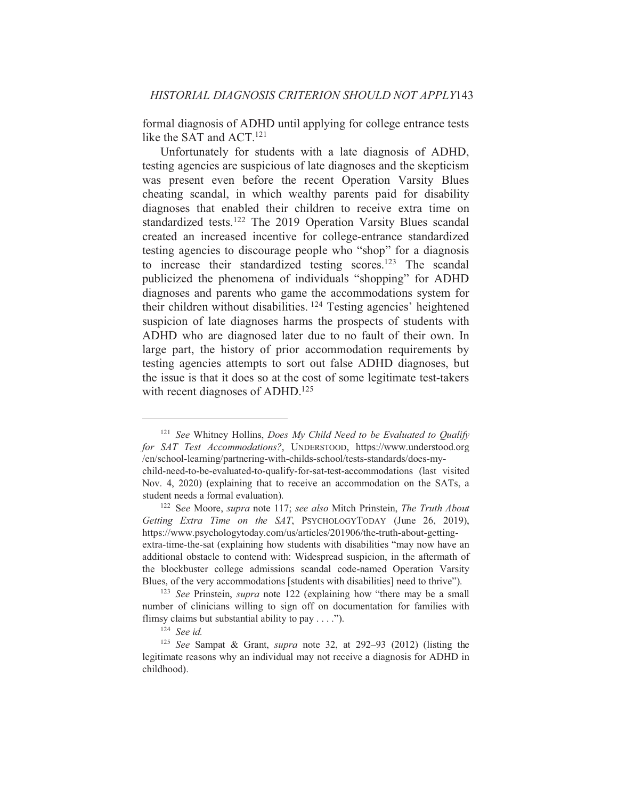formal diagnosis of ADHD until applying for college entrance tests like the SAT and ACT.<sup>121</sup>

Unfortunately for students with a late diagnosis of ADHD, testing agencies are suspicious of late diagnoses and the skepticism was present even before the recent Operation Varsity Blues cheating scandal, in which wealthy parents paid for disability diagnoses that enabled their children to receive extra time on standardized tests.<sup>122</sup> The 2019 Operation Varsity Blues scandal created an increased incentive for college-entrance standardized testing agencies to discourage people who "shop" for a diagnosis to increase their standardized testing scores.<sup>123</sup> The scandal publicized the phenomena of individuals "shopping" for ADHD diagnoses and parents who game the accommodations system for their children without disabilities. <sup>124</sup> Testing agencies' heightened suspicion of late diagnoses harms the prospects of students with ADHD who are diagnosed later due to no fault of their own. In large part, the history of prior accommodation requirements by testing agencies attempts to sort out false ADHD diagnoses, but the issue is that it does so at the cost of some legitimate test-takers with recent diagnoses of ADHD.<sup>125</sup>

 $121$  See Whitney Hollins, Does My Child Need to be Evaluated to Qualify for SAT Test Accommodations?, UNDERSTOOD, https://www.understood.org /en/school-learning/partnering-with-childs-school/tests-standards/does-mychild-need-to-be-evaluated-to-qualify-for-sat-test-accommodations (last visited Nov. 4, 2020) (explaining that to receive an accommodation on the SATs, a student needs a formal evaluation).

<sup>&</sup>lt;sup>122</sup> See Moore, supra note 117; see also Mitch Prinstein, The Truth About Getting Extra Time on the SAT, PSYCHOLOGYTODAY (June 26, 2019), https://www.psychologytoday.com/us/articles/201906/the-truth-about-gettingextra-time-the-sat (explaining how students with disabilities "may now have an additional obstacle to contend with: Widespread suspicion, in the aftermath of the blockbuster college admissions scandal code-named Operation Varsity Blues, of the very accommodations [students with disabilities] need to thrive").

<sup>&</sup>lt;sup>123</sup> See Prinstein, *supra* note 122 (explaining how "there may be a small number of clinicians willing to sign off on documentation for families with flimsy claims but substantial ability to pay  $\dots$ .").

 $124$  See id.

<sup>&</sup>lt;sup>125</sup> See Sampat & Grant, *supra* note 32, at 292–93 (2012) (listing the legitimate reasons why an individual may not receive a diagnosis for ADHD in childhood).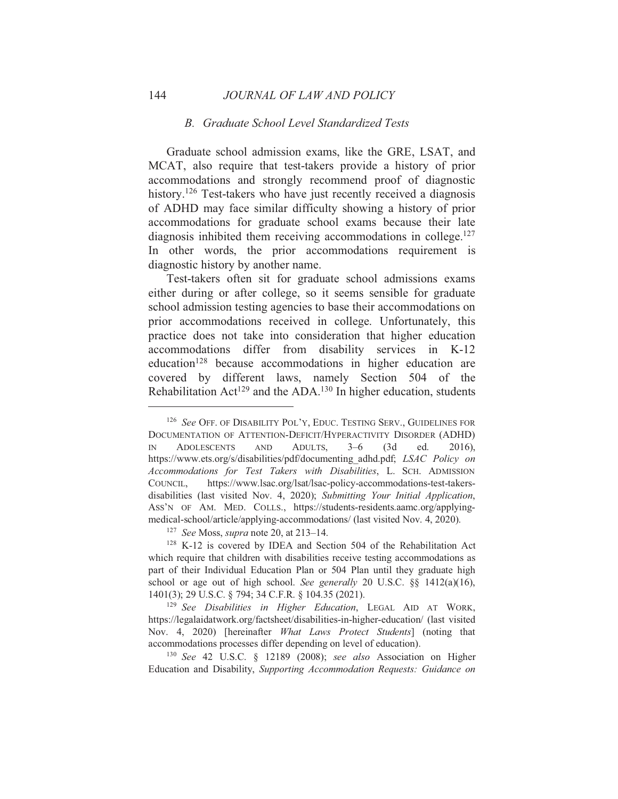#### **B.** Graduate School Level Standardized Tests

Graduate school admission exams, like the GRE, LSAT, and MCAT, also require that test-takers provide a history of prior accommodations and strongly recommend proof of diagnostic history.<sup>126</sup> Test-takers who have just recently received a diagnosis of ADHD may face similar difficulty showing a history of prior accommodations for graduate school exams because their late diagnosis inhibited them receiving accommodations in college.<sup>127</sup> In other words, the prior accommodations requirement is diagnostic history by another name.

Test-takers often sit for graduate school admissions exams either during or after college, so it seems sensible for graduate school admission testing agencies to base their accommodations on prior accommodations received in college. Unfortunately, this practice does not take into consideration that higher education accommodations differ from disability services in K-12 education<sup>128</sup> because accommodations in higher education are covered by different laws, namely Section 504 of the Rehabilitation Act<sup>129</sup> and the ADA.<sup>130</sup> In higher education, students

<sup>&</sup>lt;sup>126</sup> See OFF. OF DISABILITY POL'Y, EDUC. TESTING SERV., GUIDELINES FOR DOCUMENTATION OF ATTENTION-DEFICIT/HYPERACTIVITY DISORDER (ADHD) **IN ADOLESCENTS AND** ADULTS.  $3 - 6$  $(3d)$ ed. 2016), https://www.ets.org/s/disabilities/pdf/documenting adhd.pdf; LSAC Policy on Accommodations for Test Takers with Disabilities, L. SCH. ADMISSION COUNCIL, https://www.lsac.org/lsat/lsac-policy-accommodations-test-takersdisabilities (last visited Nov. 4, 2020); Submitting Your Initial Application, ASS'N OF AM. MED. COLLS., https://students-residents.aamc.org/applyingmedical-school/article/applying-accommodations/ (last visited Nov. 4, 2020).

<sup>&</sup>lt;sup>127</sup> See Moss, *supra* note 20, at 213–14.

<sup>&</sup>lt;sup>128</sup> K-12 is covered by IDEA and Section 504 of the Rehabilitation Act which require that children with disabilities receive testing accommodations as part of their Individual Education Plan or 504 Plan until they graduate high school or age out of high school. See generally 20 U.S.C. §§ 1412(a)(16), 1401(3); 29 U.S.C. § 794; 34 C.F.R. § 104.35 (2021).

<sup>&</sup>lt;sup>129</sup> See Disabilities in Higher Education, LEGAL AID AT WORK, https://legalaidatwork.org/factsheet/disabilities-in-higher-education/ (last visited Nov. 4, 2020) [hereinafter What Laws Protect Students] (noting that accommodations processes differ depending on level of education).

<sup>&</sup>lt;sup>130</sup> See 42 U.S.C. § 12189 (2008); see also Association on Higher Education and Disability, Supporting Accommodation Requests: Guidance on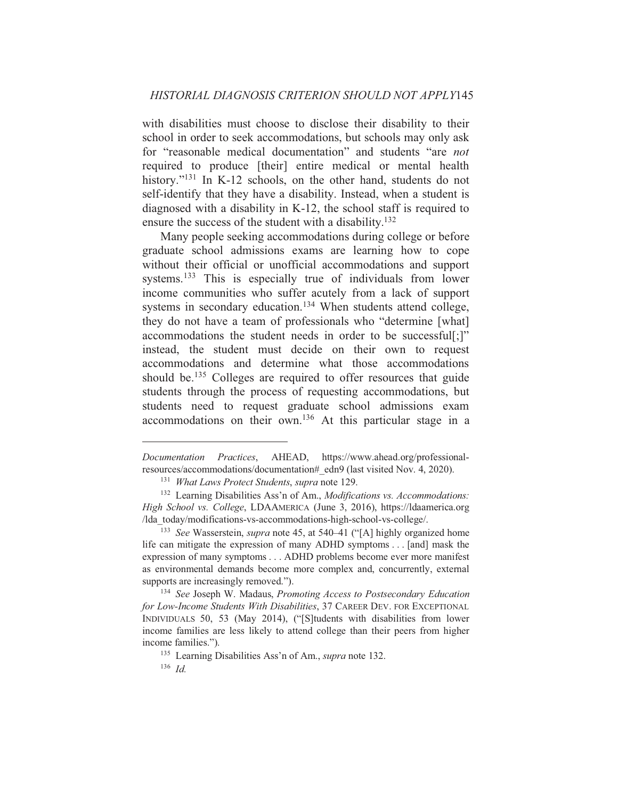with disabilities must choose to disclose their disability to their school in order to seek accommodations, but schools may only ask for "reasonable medical documentation" and students "are *not* required to produce [their] entire medical or mental health history."<sup>131</sup> In K-12 schools, on the other hand, students do not self-identify that they have a disability. Instead, when a student is diagnosed with a disability in K-12, the school staff is required to ensure the success of the student with a disability.<sup>132</sup>

Many people seeking accommodations during college or before graduate school admissions exams are learning how to cope without their official or unofficial accommodations and support systems.<sup>133</sup> This is especially true of individuals from lower income communities who suffer acutely from a lack of support systems in secondary education.<sup>134</sup> When students attend college, they do not have a team of professionals who "determine [what] accommodations the student needs in order to be successful[;]" instead, the student must decide on their own to request accommodations and determine what those accommodations should be.<sup>135</sup> Colleges are required to offer resources that guide students through the process of requesting accommodations, but students need to request graduate school admissions exam accommodations on their own.<sup>136</sup> At this particular stage in a

<sup>134</sup> See Joseph W. Madaus, Promoting Access to Postsecondary Education for Low-Income Students With Disabilities, 37 CAREER DEV. FOR EXCEPTIONAL INDIVIDUALS 50, 53 (May 2014), ("[S]tudents with disabilities from lower income families are less likely to attend college than their peers from higher income families.").

Documentation Practices, AHEAD, https://www.ahead.org/professionalresources/accommodations/documentation# edn9 (last visited Nov. 4, 2020).

<sup>&</sup>lt;sup>131</sup> What Laws Protect Students, supra note 129.

<sup>&</sup>lt;sup>132</sup> Learning Disabilities Ass'n of Am., *Modifications vs. Accommodations*: High School vs. College, LDAAMERICA (June 3, 2016), https://Idaamerica.org /lda today/modifications-vs-accommodations-high-school-vs-college/.

<sup>&</sup>lt;sup>133</sup> See Wasserstein, *supra* note 45, at 540–41 ("[A] highly organized home life can mitigate the expression of many ADHD symptoms . . . [and] mask the expression of many symptoms . . . ADHD problems become ever more manifest as environmental demands become more complex and, concurrently, external supports are increasingly removed.").

<sup>&</sup>lt;sup>135</sup> Learning Disabilities Ass'n of Am., *supra* note 132.

 $136$  *Id*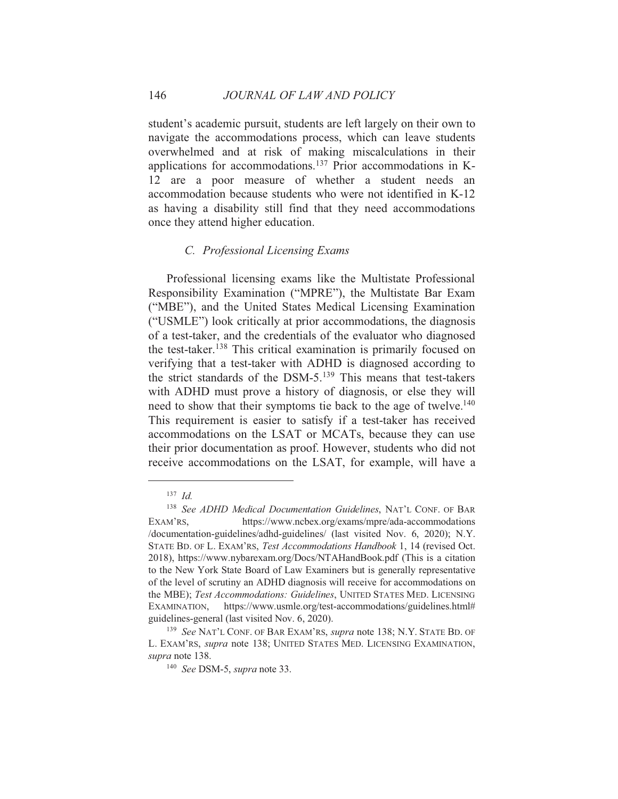student's academic pursuit, students are left largely on their own to navigate the accommodations process, which can leave students overwhelmed and at risk of making miscalculations in their applications for accommodations.<sup>137</sup> Prior accommodations in K-12 are a poor measure of whether a student needs an accommodation because students who were not identified in K-12 as having a disability still find that they need accommodations once they attend higher education.

#### C. Professional Licensing Exams

Professional licensing exams like the Multistate Professional Responsibility Examination ("MPRE"), the Multistate Bar Exam ("MBE"), and the United States Medical Licensing Examination ("USMLE") look critically at prior accommodations, the diagnosis of a test-taker, and the credentials of the evaluator who diagnosed the test-taker.<sup>138</sup> This critical examination is primarily focused on verifying that a test-taker with ADHD is diagnosed according to the strict standards of the DSM-5.<sup>139</sup> This means that test-takers with ADHD must prove a history of diagnosis, or else they will need to show that their symptoms tie back to the age of twelve.<sup>140</sup> This requirement is easier to satisfy if a test-taker has received accommodations on the LSAT or MCATs, because they can use their prior documentation as proof. However, students who did not receive accommodations on the LSAT, for example, will have a

 $137$  *Id.* 

<sup>&</sup>lt;sup>138</sup> See ADHD Medical Documentation Guidelines, NAT'L CONF. OF BAR EXAM'RS, https://www.ncbex.org/exams/mpre/ada-accommodations /documentation-guidelines/adhd-guidelines/ (last visited Nov. 6, 2020); N.Y. STATE BD. OF L. EXAM'RS, Test Accommodations Handbook 1, 14 (revised Oct. 2018), https://www.nybarexam.org/Docs/NTAHandBook.pdf (This is a citation to the New York State Board of Law Examiners but is generally representative of the level of scrutiny an ADHD diagnosis will receive for accommodations on the MBE); Test Accommodations: Guidelines, UNITED STATES MED. LICENSING EXAMINATION, https://www.usmle.org/test-accommodations/guidelines.html# guidelines-general (last visited Nov. 6, 2020).

<sup>&</sup>lt;sup>139</sup> See NAT'L CONF. OF BAR EXAM'RS, *supra* note 138; N.Y. STATE BD. OF L. EXAM'RS, *supra* note 138; UNITED STATES MED. LICENSING EXAMINATION, supra note 138.

<sup>&</sup>lt;sup>140</sup> See DSM-5, supra note 33.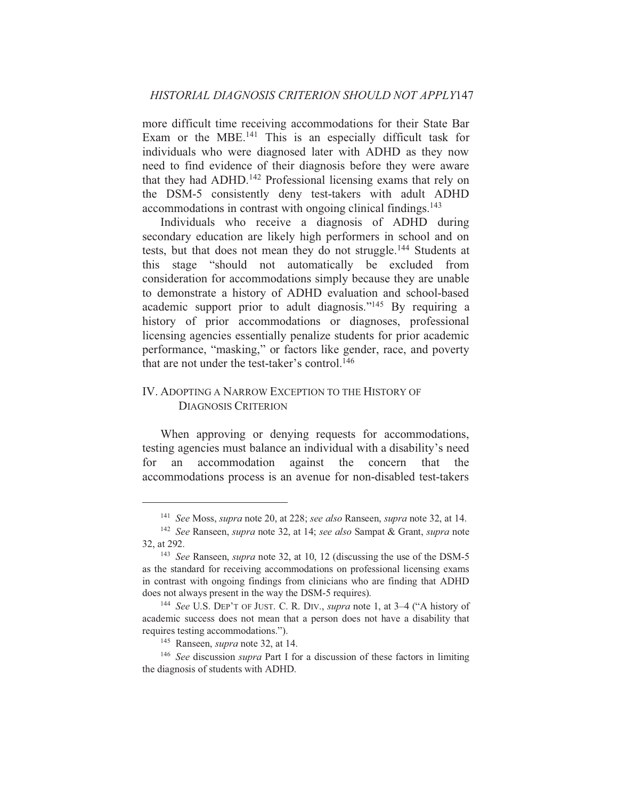more difficult time receiving accommodations for their State Bar Exam or the MBE.<sup>141</sup> This is an especially difficult task for individuals who were diagnosed later with ADHD as they now need to find evidence of their diagnosis before they were aware that they had ADHD.<sup>142</sup> Professional licensing exams that rely on the DSM-5 consistently deny test-takers with adult ADHD accommodations in contrast with ongoing clinical findings.<sup>143</sup>

Individuals who receive a diagnosis of ADHD during secondary education are likely high performers in school and on tests, but that does not mean they do not struggle.<sup>144</sup> Students at this stage "should not automatically be excluded from consideration for accommodations simply because they are unable to demonstrate a history of ADHD evaluation and school-based academic support prior to adult diagnosis."<sup>145</sup> By requiring a history of prior accommodations or diagnoses, professional licensing agencies essentially penalize students for prior academic performance, "masking," or factors like gender, race, and poverty that are not under the test-taker's control.<sup>146</sup>

# **IV. ADOPTING A NARROW EXCEPTION TO THE HISTORY OF DIAGNOSIS CRITERION**

When approving or denying requests for accommodations, testing agencies must balance an individual with a disability's need accommodation against the concern that the for an accommodations process is an avenue for non-disabled test-takers

<sup>&</sup>lt;sup>141</sup> See Moss, *supra* note 20, at 228; *see also* Ranseen, *supra* note 32, at 14.

<sup>&</sup>lt;sup>142</sup> See Ranseen, *supra* note 32, at 14; see also Sampat & Grant, *supra* note 32. at 292.

<sup>&</sup>lt;sup>143</sup> See Ranseen, *supra* note 32, at 10, 12 (discussing the use of the DSM-5 as the standard for receiving accommodations on professional licensing exams in contrast with ongoing findings from clinicians who are finding that ADHD does not always present in the way the DSM-5 requires).

<sup>&</sup>lt;sup>144</sup> See U.S. DEP'T OF JUST. C. R. DIV., *supra* note 1, at 3-4 ("A history of academic success does not mean that a person does not have a disability that requires testing accommodations.").

<sup>&</sup>lt;sup>145</sup> Ranseen, *supra* note 32, at 14.

 $146$  See discussion *supra* Part I for a discussion of these factors in limiting the diagnosis of students with ADHD.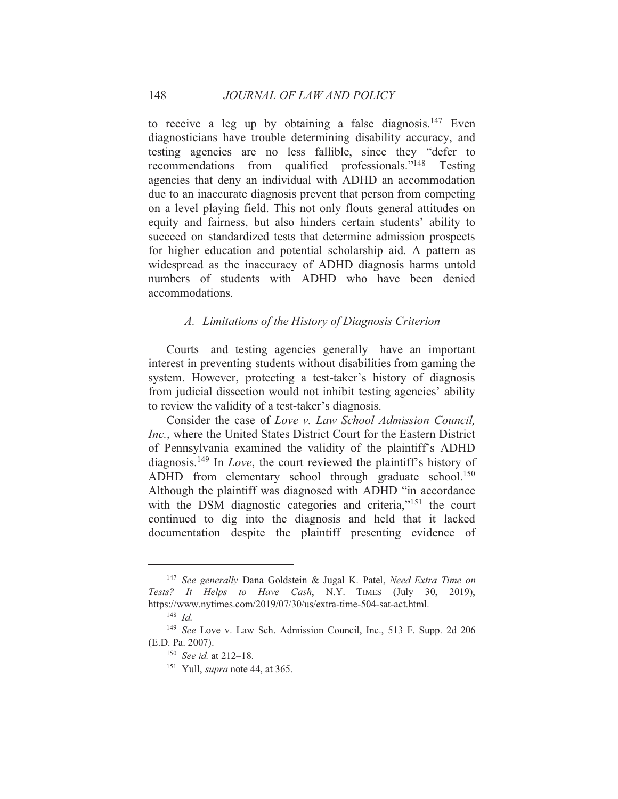to receive a leg up by obtaining a false diagnosis.<sup>147</sup> Even diagnosticians have trouble determining disability accuracy, and testing agencies are no less fallible, since they "defer to recommendations from qualified professionals."<sup>148</sup> Testing agencies that deny an individual with ADHD an accommodation due to an inaccurate diagnosis prevent that person from competing on a level playing field. This not only flouts general attitudes on equity and fairness, but also hinders certain students' ability to succeed on standardized tests that determine admission prospects for higher education and potential scholarship aid. A pattern as widespread as the inaccuracy of ADHD diagnosis harms untold numbers of students with ADHD who have been denied accommodations.

# A. Limitations of the History of Diagnosis Criterion

Courts—and testing agencies generally—have an important interest in preventing students without disabilities from gaming the system. However, protecting a test-taker's history of diagnosis from judicial dissection would not inhibit testing agencies' ability to review the validity of a test-taker's diagnosis.

Consider the case of Love y. Law School Admission Council. *Inc.*, where the United States District Court for the Eastern District of Pennsylvania examined the validity of the plaintiff's ADHD diagnosis.<sup>149</sup> In *Love*, the court reviewed the plaintiff's history of ADHD from elementary school through graduate school.<sup>150</sup> Although the plaintiff was diagnosed with ADHD "in accordance" with the DSM diagnostic categories and criteria,"<sup>151</sup> the court continued to dig into the diagnosis and held that it lacked documentation despite the plaintiff presenting evidence of

<sup>&</sup>lt;sup>147</sup> See generally Dana Goldstein & Jugal K. Patel, Need Extra Time on Tests? It Helps to Have Cash, N.Y. TIMES (July 30, 2019), https://www.nytimes.com/2019/07/30/us/extra-time-504-sat-act.html.

 $148$  *Id.* 

<sup>&</sup>lt;sup>149</sup> See Love v. Law Sch. Admission Council, Inc., 513 F. Supp. 2d 206 (E.D. Pa. 2007).

<sup>&</sup>lt;sup>150</sup> See id. at 212-18.

<sup>&</sup>lt;sup>151</sup> Yull, *supra* note 44, at 365.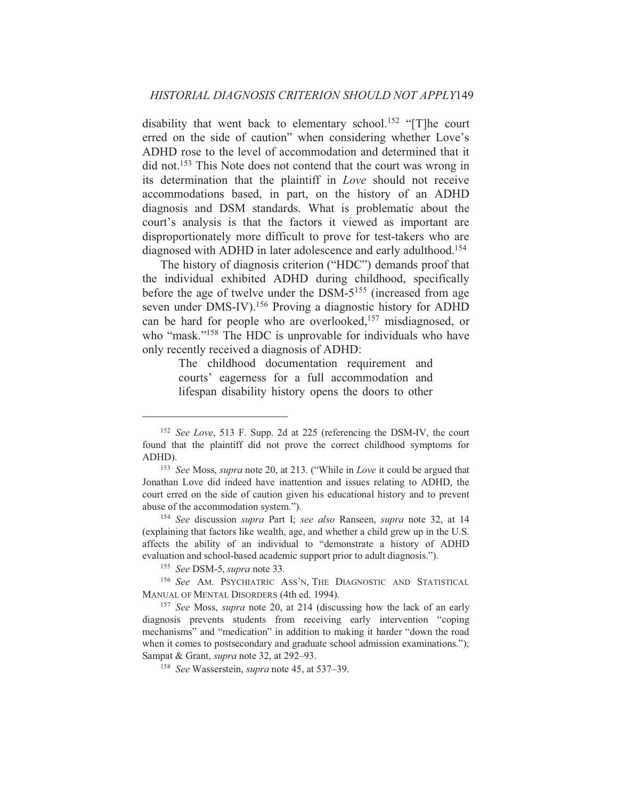disability that went back to elementary school.<sup>152</sup> "[T]he court erred on the side of caution" when considering whether Love's ADHD rose to the level of accommodation and determined that it did not.<sup>153</sup> This Note does not contend that the court was wrong in its determination that the plaintiff in *Love* should not receive accommodations based, in part, on the history of an ADHD diagnosis and DSM standards. What is problematic about the court's analysis is that the factors it viewed as important are disproportionately more difficult to prove for test-takers who are diagnosed with ADHD in later adolescence and early adulthood.<sup>154</sup>

The history of diagnosis criterion ("HDC") demands proof that the individual exhibited ADHD during childhood, specifically before the age of twelve under the DSM-5<sup>155</sup> (increased from age seven under DMS-IV).<sup>156</sup> Proving a diagnostic history for ADHD can be hard for people who are overlooked,<sup>157</sup> misdiagnosed, or who "mask."<sup>158</sup> The HDC is unprovable for individuals who have only recently received a diagnosis of ADHD:

> The childhood documentation requirement and courts' eagerness for a full accommodation and lifespan disability history opens the doors to other

<sup>&</sup>lt;sup>152</sup> See Love, 513 F. Supp. 2d at 225 (referencing the DSM-IV, the court found that the plaintiff did not prove the correct childhood symptoms for ADHD).

<sup>&</sup>lt;sup>153</sup> See Moss, supra note 20, at 213. ("While in Love it could be argued that Jonathan Love did indeed have inattention and issues relating to ADHD, the court erred on the side of caution given his educational history and to prevent abuse of the accommodation system.").

<sup>&</sup>lt;sup>154</sup> See discussion supra Part I; see also Ranseen, supra note 32, at 14 (explaining that factors like wealth, age, and whether a child grew up in the U.S. affects the ability of an individual to "demonstrate a history of ADHD evaluation and school-based academic support prior to adult diagnosis.").

<sup>&</sup>lt;sup>155</sup> See DSM-5, supra note 33.

<sup>&</sup>lt;sup>156</sup> See AM. PSYCHIATRIC ASS'N, THE DIAGNOSTIC AND STATISTICAL MANUAL OF MENTAL DISORDERS (4th ed. 1994).

<sup>&</sup>lt;sup>157</sup> See Moss, *supra* note 20, at 214 (discussing how the lack of an early diagnosis prevents students from receiving early intervention "coping mechanisms" and "medication" in addition to making it harder "down the road when it comes to postsecondary and graduate school admission examinations."); Sampat & Grant, *supra* note 32, at 292–93.

<sup>&</sup>lt;sup>158</sup> See Wasserstein, *supra* note 45, at 537–39.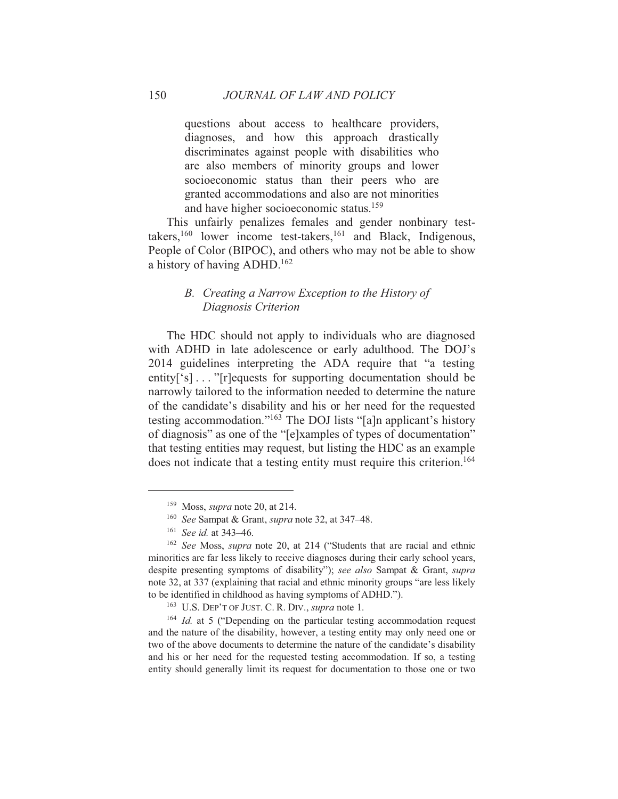questions about access to healthcare providers, diagnoses, and how this approach drastically discriminates against people with disabilities who are also members of minority groups and lower socioeconomic status than their peers who are granted accommodations and also are not minorities and have higher socioeconomic status.<sup>159</sup>

This unfairly penalizes females and gender nonbinary testtakers,  $160$  lower income test-takers,  $161$  and Black, Indigenous, People of Color (BIPOC), and others who may not be able to show a history of having ADHD.<sup>162</sup>

# B. Creating a Narrow Exception to the History of Diagnosis Criterion

The HDC should not apply to individuals who are diagnosed with ADHD in late adolescence or early adulthood. The DOJ's 2014 guidelines interpreting the ADA require that "a testing entity<sup>['s]</sup>..."<sup>T</sup>r]equests for supporting documentation should be narrowly tailored to the information needed to determine the nature of the candidate's disability and his or her need for the requested testing accommodation."<sup>163</sup> The DOJ lists "[a]n applicant's history of diagnosis" as one of the "[e]xamples of types of documentation" that testing entities may request, but listing the HDC as an example does not indicate that a testing entity must require this criterion.<sup>164</sup>

150

<sup>&</sup>lt;sup>159</sup> Moss, *supra* note 20, at 214.

<sup>&</sup>lt;sup>160</sup> See Sampat & Grant, *supra* note 32, at 347–48.

 $161$  See id. at 343-46.

<sup>&</sup>lt;sup>162</sup> See Moss, *supra* note 20, at 214 ("Students that are racial and ethnic minorities are far less likely to receive diagnoses during their early school years, despite presenting symptoms of disability"); see also Sampat & Grant, supra note 32, at 337 (explaining that racial and ethnic minority groups "are less likely to be identified in childhood as having symptoms of ADHD.").

<sup>&</sup>lt;sup>163</sup> U.S. DEP'T OF JUST. C. R. DIV., *supra* note 1.

 $164$  *Id.* at 5 ("Depending on the particular testing accommodation request and the nature of the disability, however, a testing entity may only need one or two of the above documents to determine the nature of the candidate's disability and his or her need for the requested testing accommodation. If so, a testing entity should generally limit its request for documentation to those one or two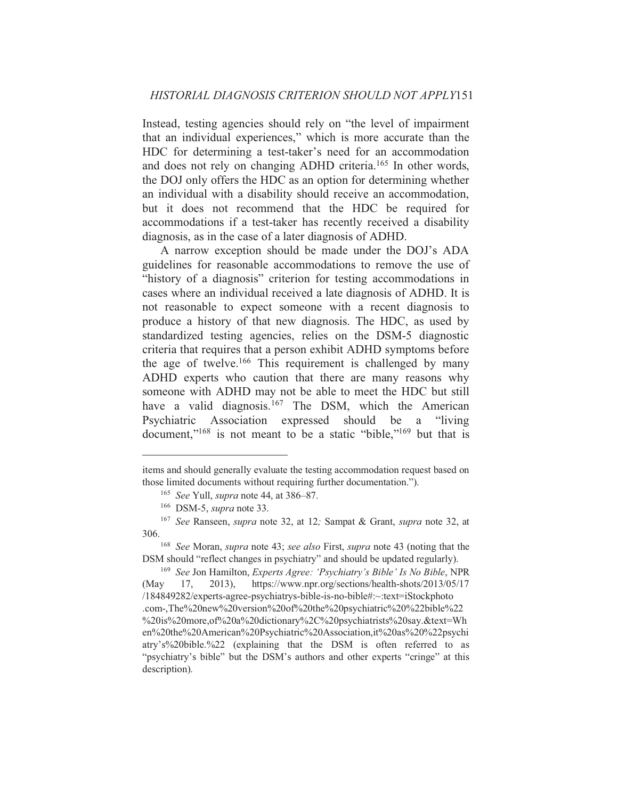Instead, testing agencies should rely on "the level of impairment" that an individual experiences," which is more accurate than the HDC for determining a test-taker's need for an accommodation and does not rely on changing ADHD criteria.<sup>165</sup> In other words. the DOJ only offers the HDC as an option for determining whether an individual with a disability should receive an accommodation, but it does not recommend that the HDC be required for accommodations if a test-taker has recently received a disability diagnosis, as in the case of a later diagnosis of ADHD.

A narrow exception should be made under the DOJ's ADA guidelines for reasonable accommodations to remove the use of "history of a diagnosis" criterion for testing accommodations in cases where an individual received a late diagnosis of ADHD. It is not reasonable to expect someone with a recent diagnosis to produce a history of that new diagnosis. The HDC, as used by standardized testing agencies, relies on the DSM-5 diagnostic criteria that requires that a person exhibit ADHD symptoms before the age of twelve.<sup>166</sup> This requirement is challenged by many ADHD experts who caution that there are many reasons why someone with ADHD may not be able to meet the HDC but still have a valid diagnosis.<sup>167</sup> The DSM, which the American Psychiatric Association expressed should be a "living" document,"<sup>168</sup> is not meant to be a static "bible,"<sup>169</sup> but that is

items and should generally evaluate the testing accommodation request based on those limited documents without requiring further documentation.").

<sup>&</sup>lt;sup>165</sup> See Yull, supra note 44, at 386–87.

 $166$  DSM-5, *supra* note 33.

<sup>&</sup>lt;sup>167</sup> See Ranseen, *supra* note 32, at 12; Sampat & Grant, *supra* note 32, at 306.

<sup>&</sup>lt;sup>168</sup> See Moran, *supra* note 43; *see also* First, *supra* note 43 (noting that the DSM should "reflect changes in psychiatry" and should be updated regularly).

<sup>&</sup>lt;sup>169</sup> See Jon Hamilton, *Experts Agree: 'Psychiatry's Bible' Is No Bible*, NPR 17.  $2013$ ), https://www.npr.org/sections/health-shots/2013/05/17 (May /184849282/experts-agree-psychiatrys-bible-is-no-bible#:~:text=iStockphoto .com-,The%20new%20version%20of%20the%20psychiatric%20%22bible%22 %20is%20more.of%20a%20dictionary%2C%20psychiatrists%20say.&text=Wh en%20the%20American%20Psychiatric%20Association,it%20as%20%22psychi atry's%20bible.%22 (explaining that the DSM is often referred to as "psychiatry's bible" but the DSM's authors and other experts "cringe" at this description).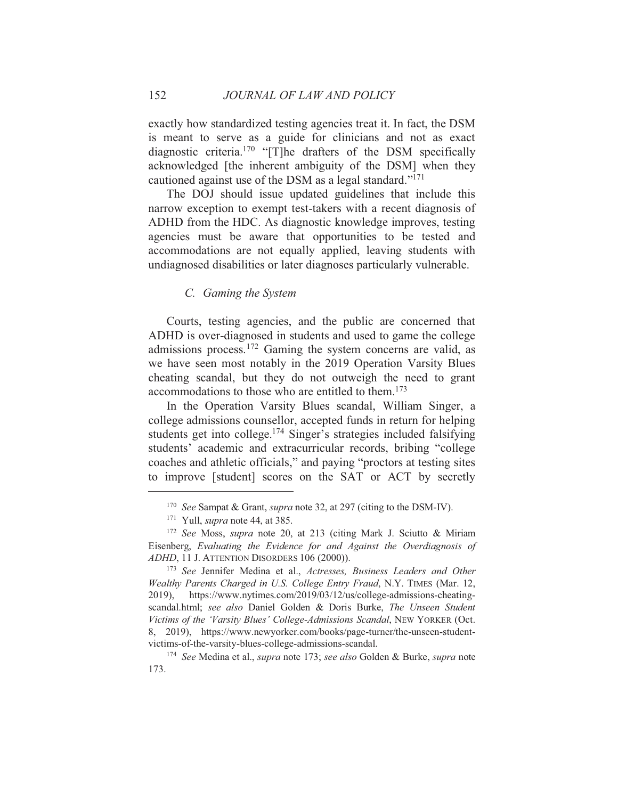exactly how standardized testing agencies treat it. In fact, the DSM is meant to serve as a guide for clinicians and not as exact diagnostic criteria.<sup>170</sup> "[T]he drafters of the DSM specifically acknowledged [the inherent ambiguity of the DSM] when they cautioned against use of the DSM as a legal standard."<sup>171</sup>

The DOJ should issue updated guidelines that include this narrow exception to exempt test-takers with a recent diagnosis of ADHD from the HDC. As diagnostic knowledge improves, testing agencies must be aware that opportunities to be tested and accommodations are not equally applied, leaving students with undiagnosed disabilities or later diagnoses particularly vulnerable.

#### C. Gaming the System

Courts, testing agencies, and the public are concerned that ADHD is over-diagnosed in students and used to game the college admissions process.<sup>172</sup> Gaming the system concerns are valid, as we have seen most notably in the 2019 Operation Varsity Blues cheating scandal, but they do not outweigh the need to grant accommodations to those who are entitled to them.<sup>173</sup>

In the Operation Varsity Blues scandal, William Singer, a college admissions counsellor, accepted funds in return for helping students get into college.<sup>174</sup> Singer's strategies included falsifying students' academic and extracurricular records, bribing "college coaches and athletic officials," and paying "proctors at testing sites to improve [student] scores on the SAT or ACT by secretly

152

<sup>&</sup>lt;sup>170</sup> See Sampat & Grant, *supra* note 32, at 297 (citing to the DSM-IV).

<sup>&</sup>lt;sup>171</sup> Yull, *supra* note 44, at 385.

<sup>&</sup>lt;sup>172</sup> See Moss, *supra* note 20, at 213 (citing Mark J. Sciutto & Miriam Eisenberg, Evaluating the Evidence for and Against the Overdiagnosis of ADHD, 11 J. ATTENTION DISORDERS 106 (2000)).

<sup>&</sup>lt;sup>173</sup> See Jennifer Medina et al., Actresses, Business Leaders and Other Wealthy Parents Charged in U.S. College Entry Fraud, N.Y. TIMES (Mar. 12, https://www.nytimes.com/2019/03/12/us/college-admissions-cheating-2019), scandal.html; see also Daniel Golden & Doris Burke, The Unseen Student Victims of the 'Varsity Blues' College-Admissions Scandal, NEW YORKER (Oct. 8, 2019), https://www.newyorker.com/books/page-turner/the-unseen-studentvictims-of-the-varsity-blues-college-admissions-scandal.

<sup>&</sup>lt;sup>174</sup> See Medina et al., *supra* note 173; see also Golden & Burke, *supra* note 173.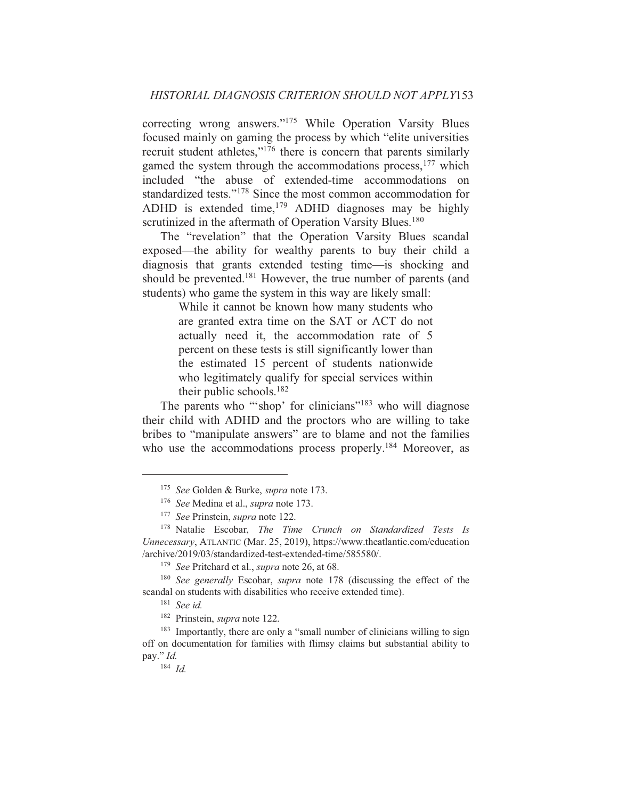correcting wrong answers."<sup>175</sup> While Operation Varsity Blues focused mainly on gaming the process by which "elite universities" recruit student athletes,"<sup>176</sup> there is concern that parents similarly gamed the system through the accommodations process,<sup>177</sup> which included "the abuse of extended-time accommodations on standardized tests."<sup>178</sup> Since the most common accommodation for ADHD is extended time,<sup>179</sup> ADHD diagnoses may be highly scrutinized in the aftermath of Operation Varsity Blues.<sup>180</sup>

The "revelation" that the Operation Varsity Blues scandal exposed—the ability for wealthy parents to buy their child a diagnosis that grants extended testing time—is shocking and should be prevented.<sup>181</sup> However, the true number of parents (and students) who game the system in this way are likely small:

> While it cannot be known how many students who are granted extra time on the SAT or ACT do not actually need it, the accommodation rate of 5 percent on these tests is still significantly lower than the estimated 15 percent of students nationwide who legitimately qualify for special services within their public schools.<sup>182</sup>

The parents who "shop' for clinicians"<sup>183</sup> who will diagnose their child with ADHD and the proctors who are willing to take bribes to "manipulate answers" are to blame and not the families who use the accommodations process properly.<sup>184</sup> Moreover, as

<sup>&</sup>lt;sup>175</sup> See Golden & Burke, *supra* note 173.

<sup>&</sup>lt;sup>176</sup> See Medina et al., *supra* note 173.

<sup>&</sup>lt;sup>177</sup> See Prinstein, *supra* note 122.

<sup>&</sup>lt;sup>178</sup> Natalie Escobar, *The Time Crunch on Standardized Tests Is* Unnecessary, ATLANTIC (Mar. 25, 2019), https://www.theatlantic.com/education /archive/2019/03/standardized-test-extended-time/585580/.

<sup>&</sup>lt;sup>179</sup> See Pritchard et al., *supra* note 26, at 68.

<sup>&</sup>lt;sup>180</sup> See generally Escobar, *supra* note 178 (discussing the effect of the scandal on students with disabilities who receive extended time).

 $181$  See id.

<sup>&</sup>lt;sup>182</sup> Prinstein, *supra* note 122.

<sup>&</sup>lt;sup>183</sup> Importantly, there are only a "small number of clinicians willing to sign off on documentation for families with flimsy claims but substantial ability to pay." Id.

 $184$  *Id.*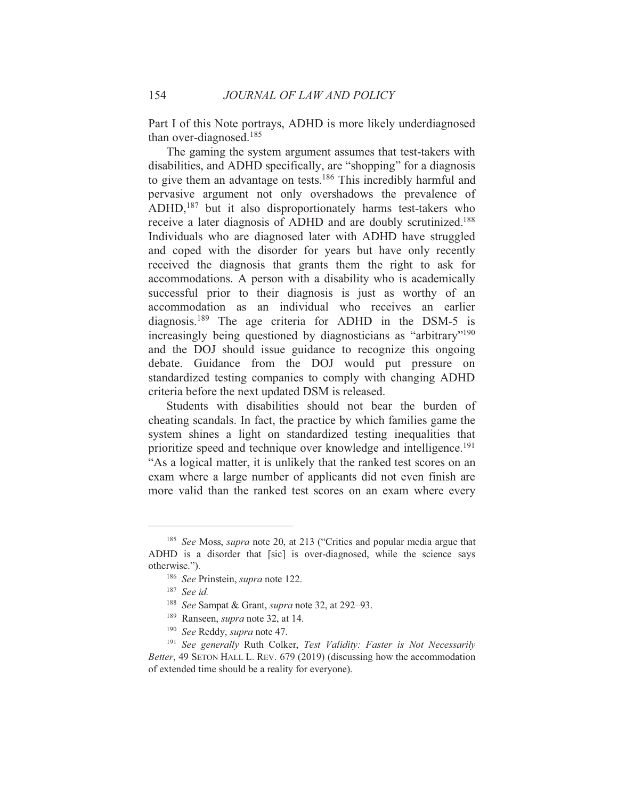Part I of this Note portrays, ADHD is more likely underdiagnosed than over-diagnosed. $185$ 

The gaming the system argument assumes that test-takers with disabilities, and ADHD specifically, are "shopping" for a diagnosis to give them an advantage on tests.<sup>186</sup> This incredibly harmful and pervasive argument not only overshadows the prevalence of ADHD,<sup>187</sup> but it also disproportionately harms test-takers who receive a later diagnosis of ADHD and are doubly scrutinized.<sup>188</sup> Individuals who are diagnosed later with ADHD have struggled and coped with the disorder for years but have only recently received the diagnosis that grants them the right to ask for accommodations. A person with a disability who is academically successful prior to their diagnosis is just as worthy of an accommodation as an individual who receives an earlier diagnosis.<sup>189</sup> The age criteria for ADHD in the DSM-5 is increasingly being questioned by diagnosticians as "arbitrary"<sup>190</sup> and the DOJ should issue guidance to recognize this ongoing debate. Guidance from the DOJ would put pressure on standardized testing companies to comply with changing ADHD criteria before the next updated DSM is released.

Students with disabilities should not bear the burden of cheating scandals. In fact, the practice by which families game the system shines a light on standardized testing inequalities that prioritize speed and technique over knowledge and intelligence.<sup>191</sup> "As a logical matter, it is unlikely that the ranked test scores on an exam where a large number of applicants did not even finish are more valid than the ranked test scores on an exam where every

- <sup>189</sup> Ranseen, *supra* note 32, at 14.
- <sup>190</sup> See Reddy, *supra* note 47.

154

<sup>&</sup>lt;sup>185</sup> See Moss, *supra* note 20, at 213 ("Critics and popular media argue that ADHD is a disorder that [sic] is over-diagnosed, while the science says otherwise.").

<sup>&</sup>lt;sup>186</sup> See Prinstein, supra note 122.

 $187$  See id.

<sup>&</sup>lt;sup>188</sup> See Sampat & Grant, *supra* note 32, at 292–93.

<sup>&</sup>lt;sup>191</sup> See generally Ruth Colker, Test Validity: Faster is Not Necessarily Better, 49 SETON HALL L. REV. 679 (2019) (discussing how the accommodation of extended time should be a reality for everyone).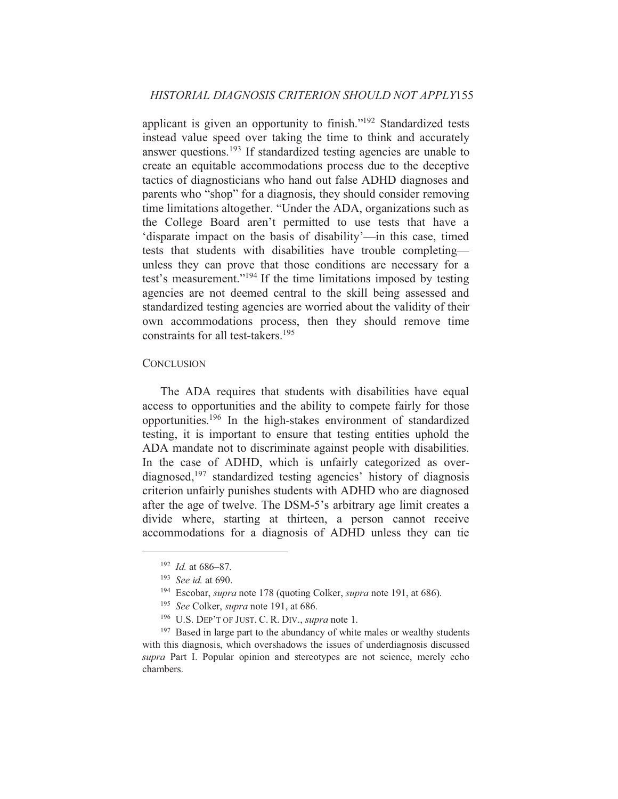applicant is given an opportunity to finish."<sup>192</sup> Standardized tests instead value speed over taking the time to think and accurately answer questions.<sup>193</sup> If standardized testing agencies are unable to create an equitable accommodations process due to the deceptive tactics of diagnosticians who hand out false ADHD diagnoses and parents who "shop" for a diagnosis, they should consider removing time limitations altogether. "Under the ADA, organizations such as the College Board aren't permitted to use tests that have a 'disparate impact on the basis of disability'—in this case, timed tests that students with disabilities have trouble completingunless they can prove that those conditions are necessary for a test's measurement."<sup>194</sup> If the time limitations imposed by testing agencies are not deemed central to the skill being assessed and standardized testing agencies are worried about the validity of their own accommodations process, then they should remove time constraints for all test-takers.<sup>195</sup>

#### **CONCLUSION**

The ADA requires that students with disabilities have equal access to opportunities and the ability to compete fairly for those opportunities.<sup>196</sup> In the high-stakes environment of standardized testing, it is important to ensure that testing entities uphold the ADA mandate not to discriminate against people with disabilities. In the case of ADHD, which is unfairly categorized as overdiagnosed,  $197$  standardized testing agencies' history of diagnosis criterion unfairly punishes students with ADHD who are diagnosed after the age of twelve. The DSM-5's arbitrary age limit creates a divide where, starting at thirteen, a person cannot receive accommodations for a diagnosis of ADHD unless they can tie

 $192$  *Id.* at 686-87.

 $193$  See id. at 690.

<sup>&</sup>lt;sup>194</sup> Escobar, *supra* note 178 (quoting Colker, *supra* note 191, at 686).

<sup>&</sup>lt;sup>195</sup> See Colker, supra note 191, at 686.

<sup>&</sup>lt;sup>196</sup> U.S. DEP'T OF JUST. C. R. DIV., *supra* note 1.

<sup>&</sup>lt;sup>197</sup> Based in large part to the abundancy of white males or wealthy students with this diagnosis, which overshadows the issues of underdiagnosis discussed supra Part I. Popular opinion and stereotypes are not science, merely echo chambers.